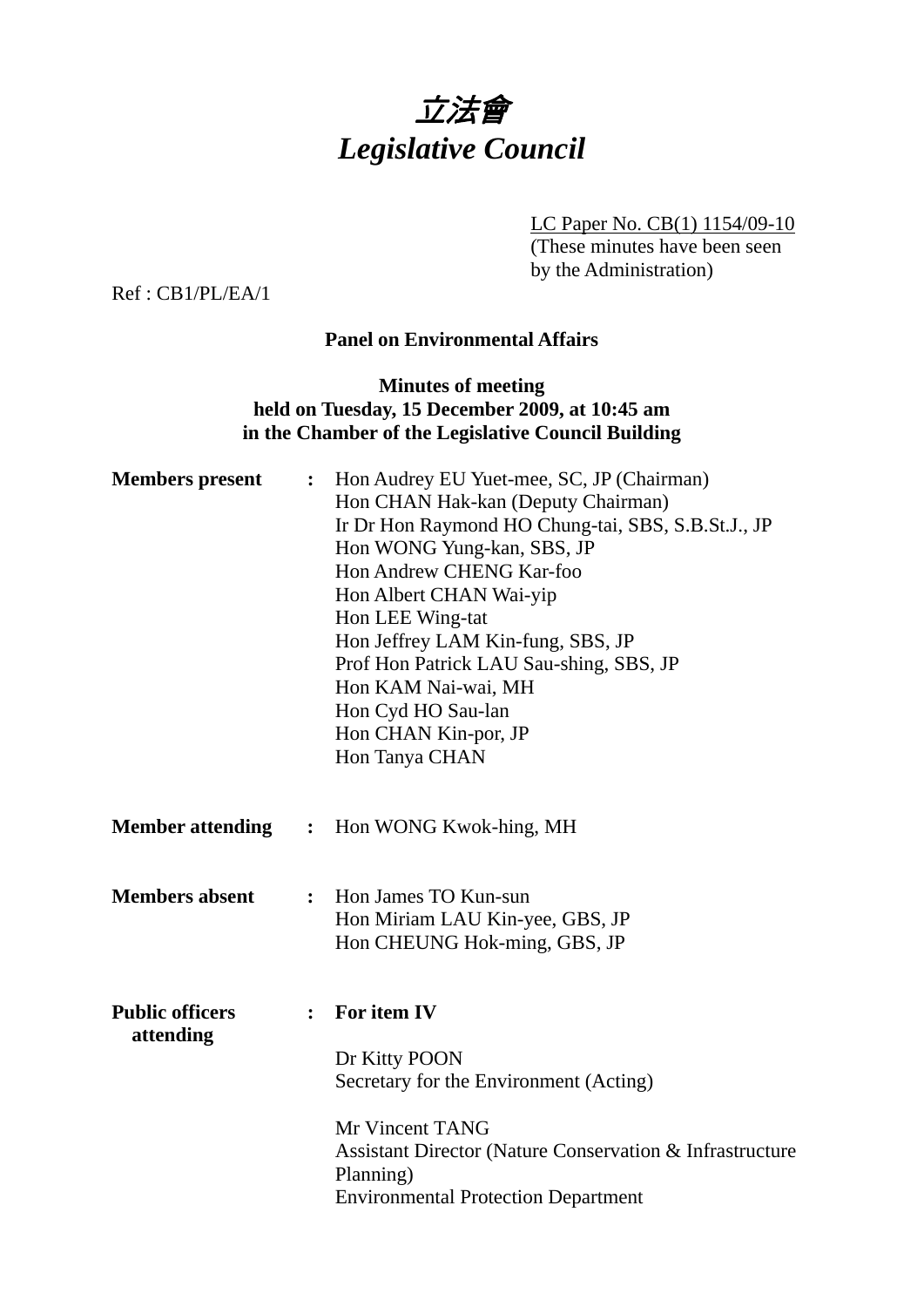

LC Paper No. CB(1) 1154/09-10

(These minutes have been seen by the Administration)

Ref : CB1/PL/EA/1

#### **Panel on Environmental Affairs**

## **Minutes of meeting held on Tuesday, 15 December 2009, at 10:45 am in the Chamber of the Legislative Council Building**

| <b>Members</b> present              | $\ddot{\cdot}$ | Hon Audrey EU Yuet-mee, SC, JP (Chairman)<br>Hon CHAN Hak-kan (Deputy Chairman)<br>Ir Dr Hon Raymond HO Chung-tai, SBS, S.B.St.J., JP<br>Hon WONG Yung-kan, SBS, JP<br><b>Hon Andrew CHENG Kar-foo</b><br>Hon Albert CHAN Wai-yip<br>Hon LEE Wing-tat<br>Hon Jeffrey LAM Kin-fung, SBS, JP<br>Prof Hon Patrick LAU Sau-shing, SBS, JP<br>Hon KAM Nai-wai, MH<br>Hon Cyd HO Sau-lan<br>Hon CHAN Kin-por, JP<br>Hon Tanya CHAN |
|-------------------------------------|----------------|------------------------------------------------------------------------------------------------------------------------------------------------------------------------------------------------------------------------------------------------------------------------------------------------------------------------------------------------------------------------------------------------------------------------------|
| <b>Member attending</b>             | $\ddot{\cdot}$ | Hon WONG Kwok-hing, MH                                                                                                                                                                                                                                                                                                                                                                                                       |
| <b>Members absent</b>               | $\ddot{\cdot}$ | Hon James TO Kun-sun<br>Hon Miriam LAU Kin-yee, GBS, JP<br>Hon CHEUNG Hok-ming, GBS, JP                                                                                                                                                                                                                                                                                                                                      |
| <b>Public officers</b><br>attending | $\ddot{\cdot}$ | For item IV                                                                                                                                                                                                                                                                                                                                                                                                                  |
|                                     |                | Dr Kitty POON<br>Secretary for the Environment (Acting)                                                                                                                                                                                                                                                                                                                                                                      |
|                                     |                | Mr Vincent TANG<br><b>Assistant Director (Nature Conservation &amp; Infrastructure</b><br>Planning)<br><b>Environmental Protection Department</b>                                                                                                                                                                                                                                                                            |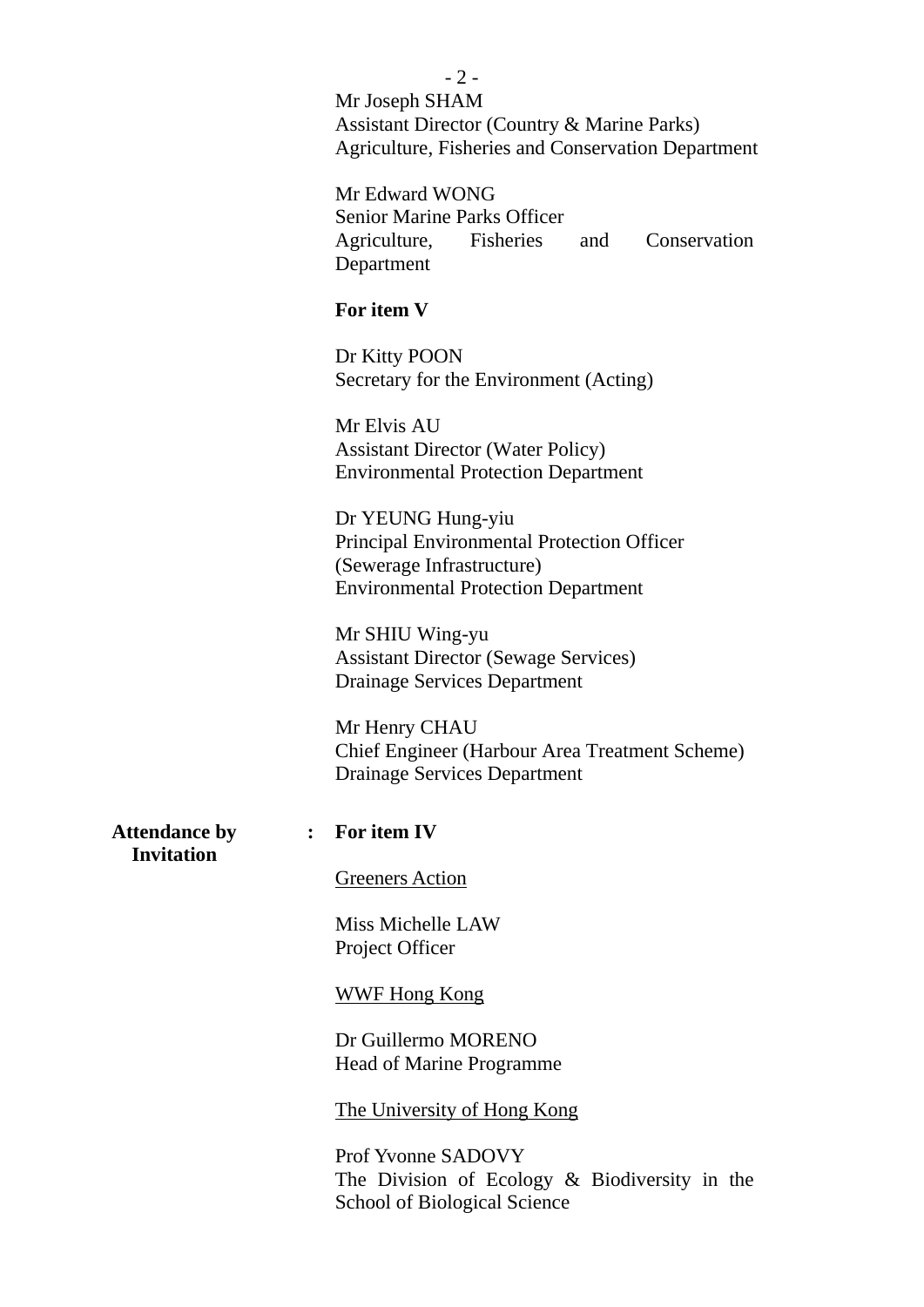|                                                             | $-2-$                                                           |  |  |
|-------------------------------------------------------------|-----------------------------------------------------------------|--|--|
|                                                             | Mr Joseph SHAM                                                  |  |  |
|                                                             | <b>Assistant Director (Country &amp; Marine Parks)</b>          |  |  |
|                                                             | <b>Agriculture, Fisheries and Conservation Department</b>       |  |  |
|                                                             |                                                                 |  |  |
|                                                             | Mr Edward WONG                                                  |  |  |
|                                                             |                                                                 |  |  |
|                                                             | <b>Senior Marine Parks Officer</b>                              |  |  |
|                                                             | Agriculture, Fisheries<br>Conservation<br>and                   |  |  |
|                                                             | Department                                                      |  |  |
|                                                             | For item V                                                      |  |  |
|                                                             |                                                                 |  |  |
|                                                             | Dr Kitty POON                                                   |  |  |
|                                                             | Secretary for the Environment (Acting)                          |  |  |
|                                                             | Mr Elvis AU<br><b>Assistant Director (Water Policy)</b>         |  |  |
|                                                             |                                                                 |  |  |
|                                                             | <b>Environmental Protection Department</b>                      |  |  |
|                                                             | Dr YEUNG Hung-yiu<br>Principal Environmental Protection Officer |  |  |
|                                                             |                                                                 |  |  |
|                                                             | (Sewerage Infrastructure)                                       |  |  |
|                                                             | <b>Environmental Protection Department</b>                      |  |  |
|                                                             |                                                                 |  |  |
|                                                             | Mr SHIU Wing-yu                                                 |  |  |
|                                                             | <b>Assistant Director (Sewage Services)</b>                     |  |  |
|                                                             | <b>Drainage Services Department</b>                             |  |  |
|                                                             |                                                                 |  |  |
|                                                             | Mr Henry CHAU                                                   |  |  |
|                                                             | <b>Chief Engineer (Harbour Area Treatment Scheme)</b>           |  |  |
|                                                             | <b>Drainage Services Department</b>                             |  |  |
|                                                             |                                                                 |  |  |
| <b>Attendance by</b><br>$\ddot{\cdot}$<br><b>Invitation</b> | For item IV                                                     |  |  |
|                                                             | <b>Greeners Action</b>                                          |  |  |
|                                                             | Miss Michelle LAW                                               |  |  |
|                                                             | Project Officer                                                 |  |  |
|                                                             |                                                                 |  |  |
|                                                             | <b>WWF Hong Kong</b>                                            |  |  |
|                                                             |                                                                 |  |  |
|                                                             | Dr Guillermo MORENO                                             |  |  |
|                                                             | Head of Marine Programme                                        |  |  |
|                                                             | <u>The University of Hong Kong</u>                              |  |  |
|                                                             |                                                                 |  |  |
|                                                             | <b>Prof Yvonne SADOVY</b>                                       |  |  |
|                                                             | The Division of Ecology $\&$ Biodiversity in the                |  |  |

School of Biological Science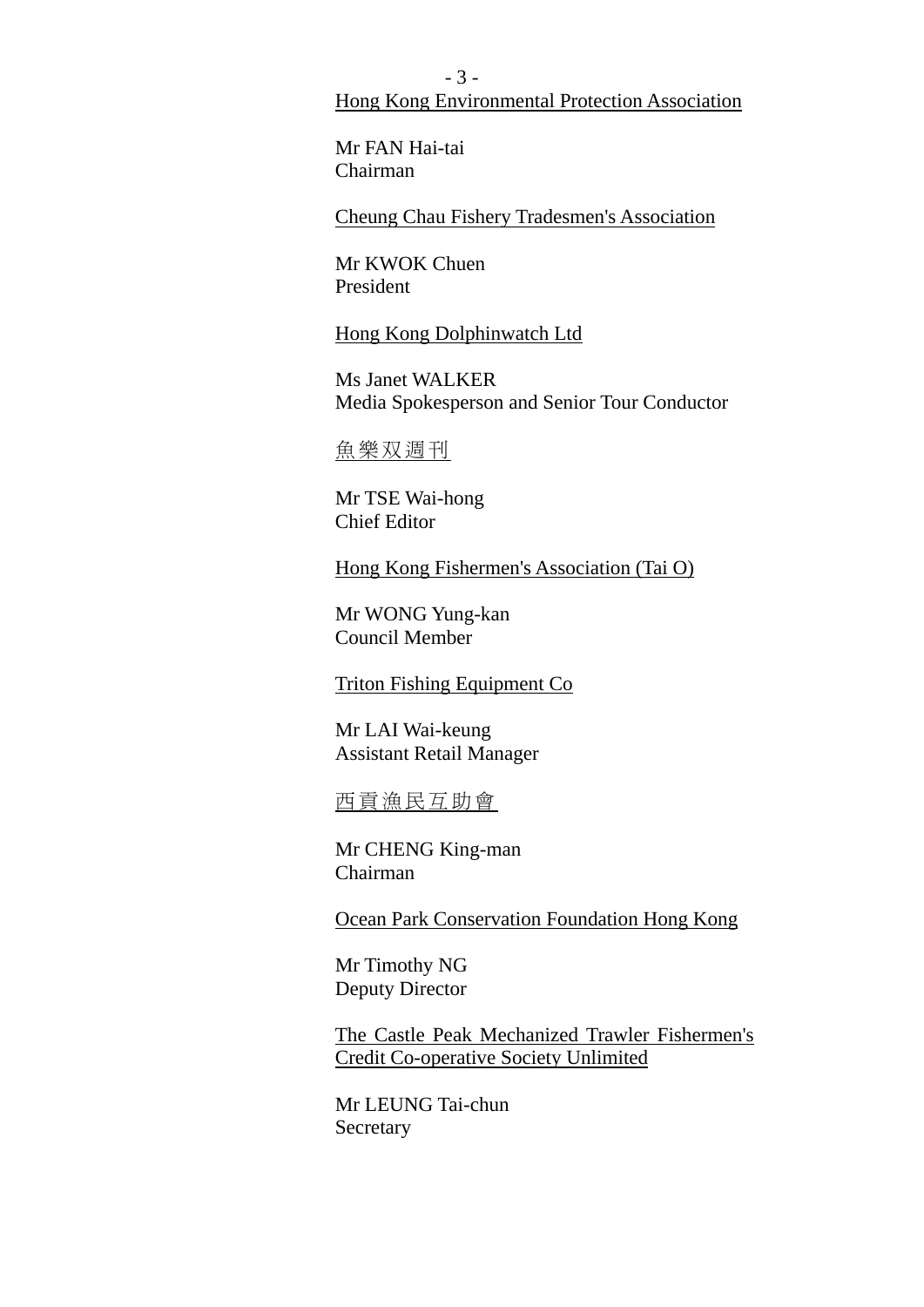- 3 - Hong Kong Environmental Protection Association

Mr FAN Hai-tai Chairman

Cheung Chau Fishery Tradesmen's Association

Mr KWOK Chuen President

Hong Kong Dolphinwatch Ltd

Ms Janet WALKER Media Spokesperson and Senior Tour Conductor

魚樂双週刊

Mr TSE Wai-hong Chief Editor

Hong Kong Fishermen's Association (Tai O)

Mr WONG Yung-kan Council Member

Triton Fishing Equipment Co

Mr LAI Wai-keung Assistant Retail Manager

西貢漁民互助會

Mr CHENG King-man Chairman

Ocean Park Conservation Foundation Hong Kong

Mr Timothy NG Deputy Director

The Castle Peak Mechanized Trawler Fishermen's Credit Co-operative Society Unlimited

Mr LEUNG Tai-chun Secretary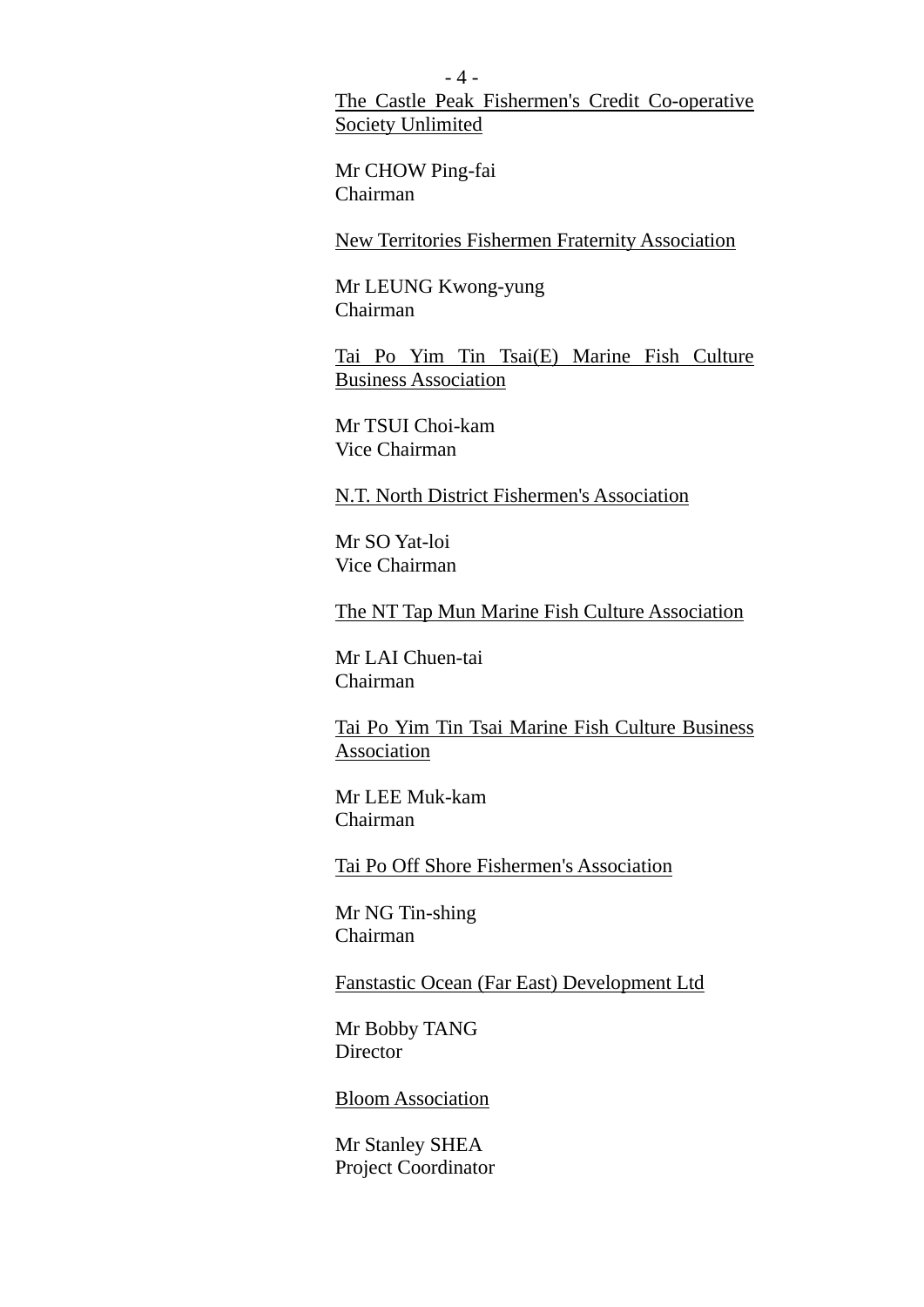- 4 - The Castle Peak Fishermen's Credit Co-operative Society Unlimited

Mr CHOW Ping-fai Chairman

New Territories Fishermen Fraternity Association

Mr LEUNG Kwong-yung Chairman

Tai Po Yim Tin Tsai(E) Marine Fish Culture Business Association

Mr TSUI Choi-kam Vice Chairman

N.T. North District Fishermen's Association

Mr SO Yat-loi Vice Chairman

The NT Tap Mun Marine Fish Culture Association

Mr LAI Chuen-tai Chairman

Tai Po Yim Tin Tsai Marine Fish Culture Business Association

Mr LEE Muk-kam Chairman

Tai Po Off Shore Fishermen's Association

Mr NG Tin-shing Chairman

Fanstastic Ocean (Far East) Development Ltd

Mr Bobby TANG **Director** 

Bloom Association

Mr Stanley SHEA Project Coordinator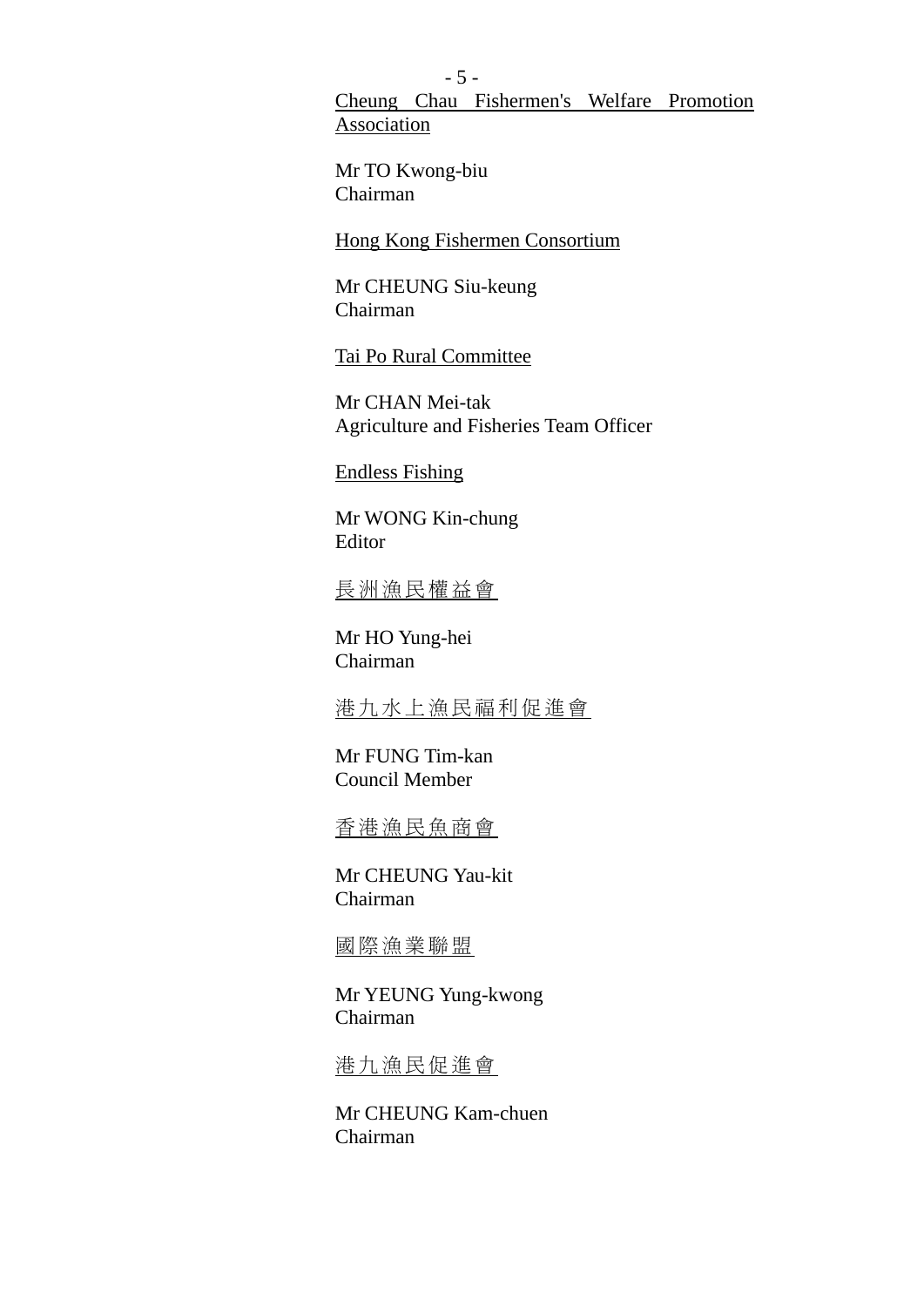- 5 - Cheung Chau Fishermen's Welfare Promotion **Association** 

Mr TO Kwong-biu Chairman

Hong Kong Fishermen Consortium

Mr CHEUNG Siu-keung Chairman

Tai Po Rural Committee

Mr CHAN Mei-tak Agriculture and Fisheries Team Officer

Endless Fishing

Mr WONG Kin-chung Editor

長洲漁民權益會

Mr HO Yung-hei Chairman

港九水上漁民福利促進會

Mr FUNG Tim-kan Council Member

香港漁民魚商會

Mr CHEUNG Yau-kit Chairman

國際漁業聯盟

Mr YEUNG Yung-kwong Chairman

港九漁民促進會

Mr CHEUNG Kam-chuen Chairman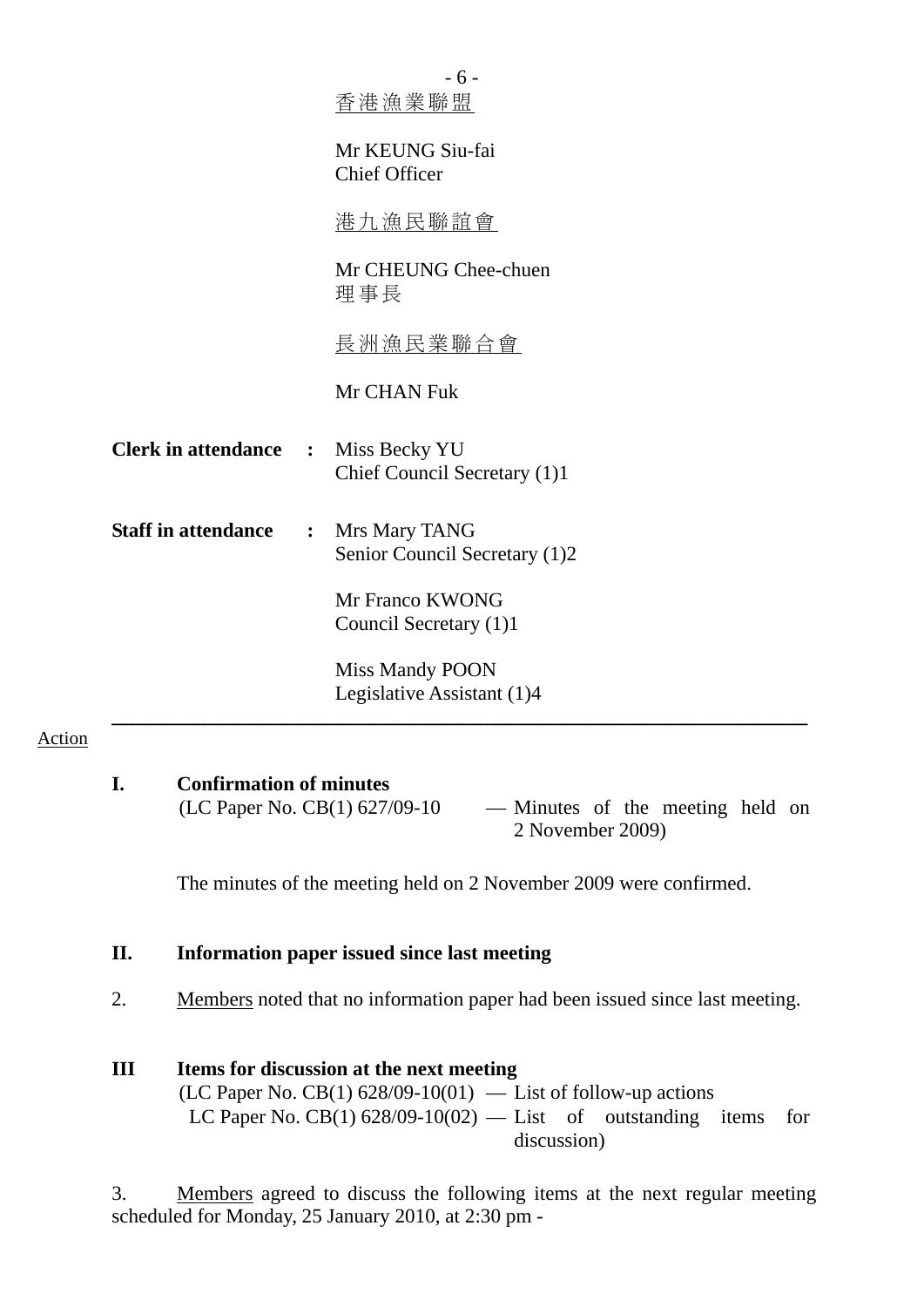|                                      | $-6-$<br>香港漁業聯盟                                                                       |
|--------------------------------------|---------------------------------------------------------------------------------------|
|                                      | Mr KEUNG Siu-fai<br><b>Chief Officer</b>                                              |
|                                      | 港九漁民聯誼會                                                                               |
|                                      | Mr CHEUNG Chee-chuen<br>理事長                                                           |
|                                      | 長洲漁民業聯合會                                                                              |
|                                      | Mr CHAN Fuk                                                                           |
| <b>Clerk in attendance</b>           | Miss Becky YU<br>$\ddot{\bullet}$<br>Chief Council Secretary (1)1                     |
| <b>Staff in attendance</b>           | Mrs Mary TANG<br>$\ddot{\cdot}$<br>Senior Council Secretary (1)2                      |
|                                      | Mr Franco KWONG<br>Council Secretary (1)1                                             |
|                                      | <b>Miss Mandy POON</b><br>Legislative Assistant (1)4                                  |
| Action                               |                                                                                       |
| <b>Confirmation of minutes</b><br>I. | (LC Paper No. CB(1) 627/09-10<br>- Minutes of the meeting held on<br>2 November 2009) |
|                                      | The minutes of the meeting held on 2 November 2009 were confirmed.                    |

**II. Information paper issued since last meeting**

2. Members noted that no information paper had been issued since last meeting.

## **III Items for discussion at the next meeting** (LC Paper No. CB(1)  $628/09-10(01)$  — List of follow-up actions LC Paper No. CB(1)  $628/09-10(02)$  — List of outstanding items for discussion)

3. Members agreed to discuss the following items at the next regular meeting scheduled for Monday, 25 January 2010, at 2:30 pm -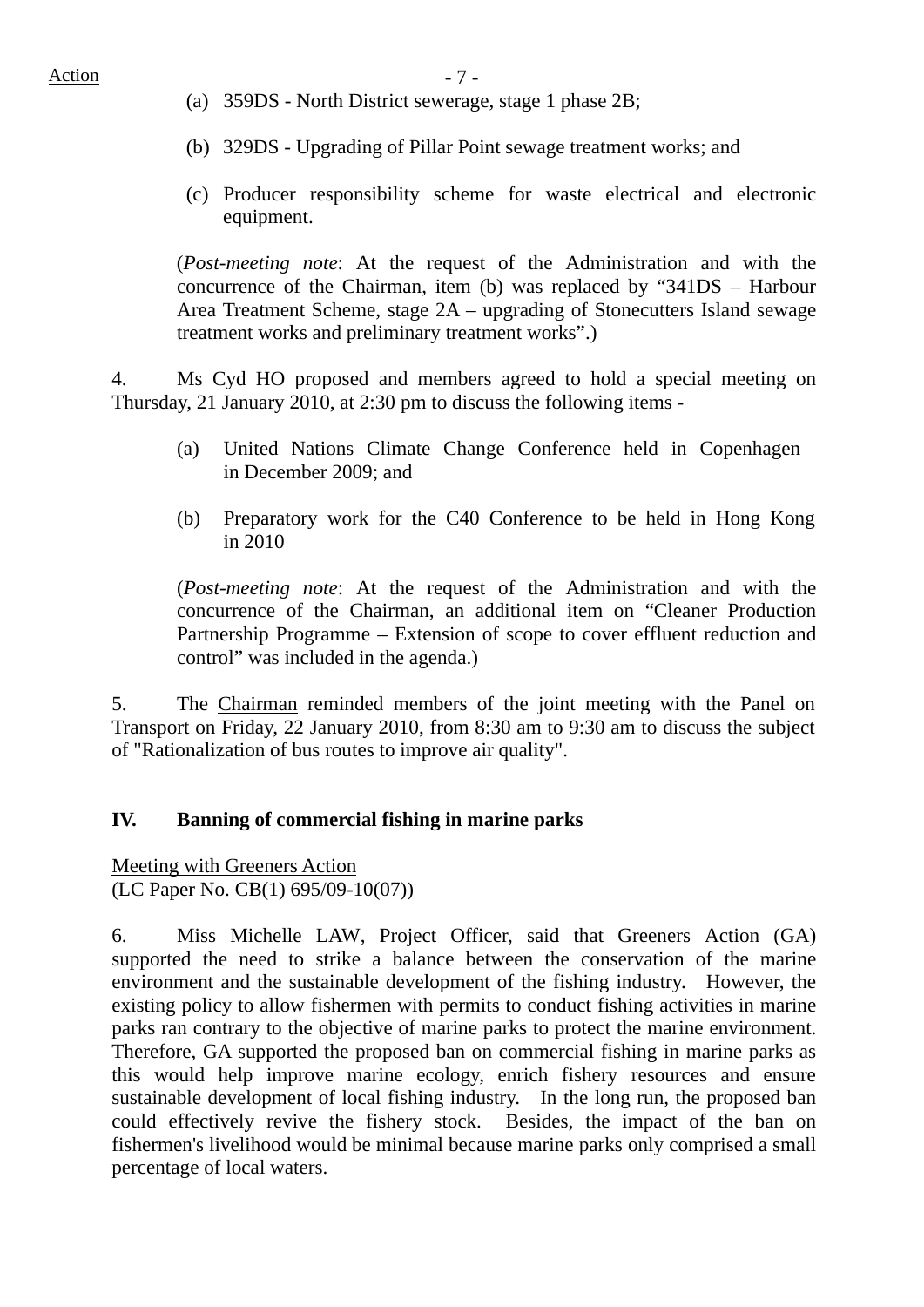- (a) 359DS North District sewerage, stage 1 phase 2B;
- (b) 329DS Upgrading of Pillar Point sewage treatment works; and
- (c) Producer responsibility scheme for waste electrical and electronic equipment.

(*Post-meeting note*: At the request of the Administration and with the concurrence of the Chairman, item (b) was replaced by "341DS – Harbour Area Treatment Scheme, stage 2A – upgrading of Stonecutters Island sewage treatment works and preliminary treatment works".)

4. Ms Cyd HO proposed and members agreed to hold a special meeting on Thursday, 21 January 2010, at 2:30 pm to discuss the following items -

- (a) United Nations Climate Change Conference held in Copenhagen in December 2009; and
- (b) Preparatory work for the C40 Conference to be held in Hong Kong in 2010

(*Post-meeting note*: At the request of the Administration and with the concurrence of the Chairman, an additional item on "Cleaner Production Partnership Programme – Extension of scope to cover effluent reduction and control" was included in the agenda.)

5. The Chairman reminded members of the joint meeting with the Panel on Transport on Friday, 22 January 2010, from 8:30 am to 9:30 am to discuss the subject of "Rationalization of bus routes to improve air quality".

#### **IV. Banning of commercial fishing in marine parks**

Meeting with Greeners Action (LC Paper No. CB(1) 695/09-10(07))

6. Miss Michelle LAW, Project Officer, said that Greeners Action (GA) supported the need to strike a balance between the conservation of the marine environment and the sustainable development of the fishing industry. However, the existing policy to allow fishermen with permits to conduct fishing activities in marine parks ran contrary to the objective of marine parks to protect the marine environment. Therefore, GA supported the proposed ban on commercial fishing in marine parks as this would help improve marine ecology, enrich fishery resources and ensure sustainable development of local fishing industry. In the long run, the proposed ban could effectively revive the fishery stock. Besides, the impact of the ban on fishermen's livelihood would be minimal because marine parks only comprised a small percentage of local waters.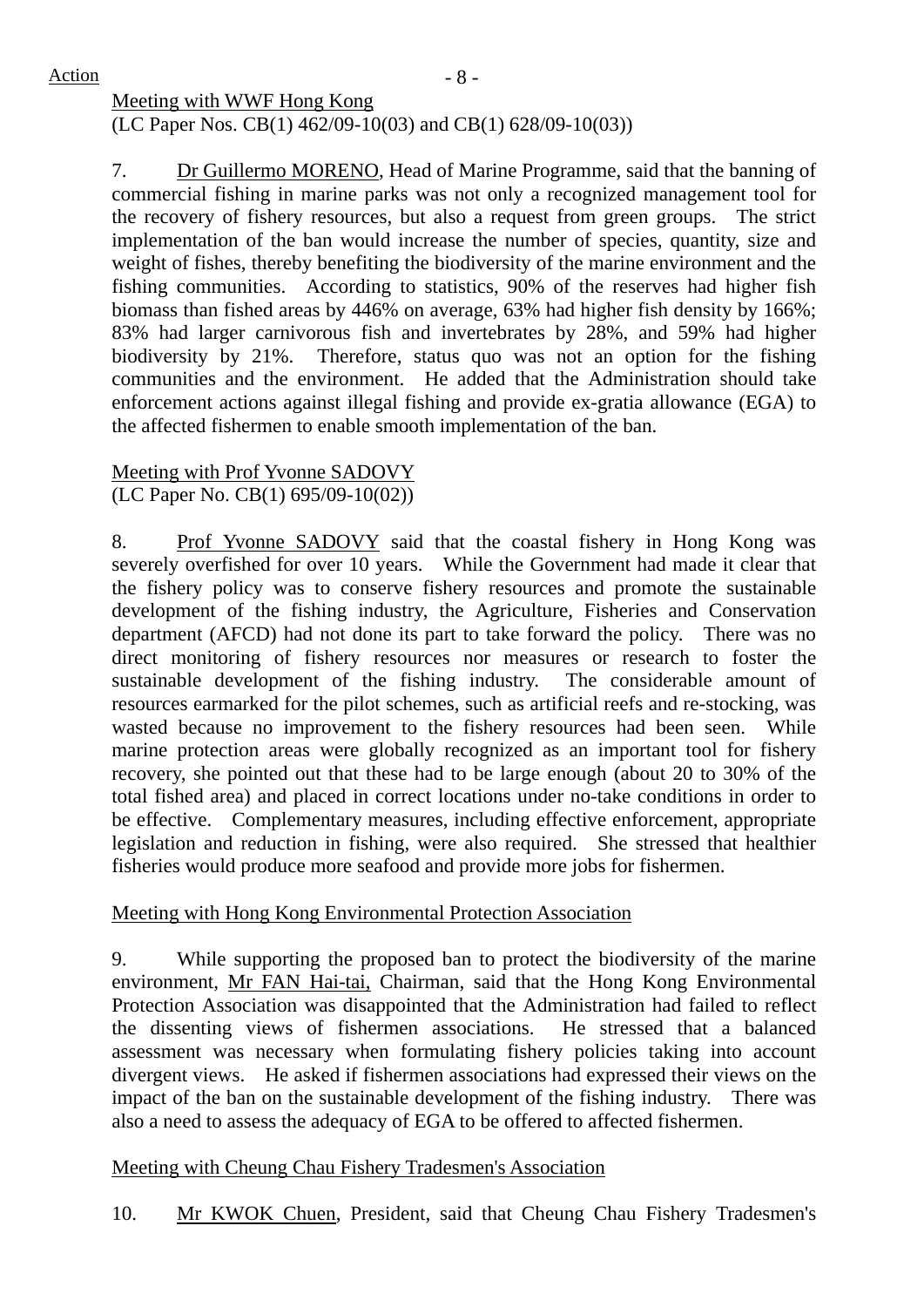$Action$   $-8$  -

Meeting with WWF Hong Kong (LC Paper Nos. CB(1) 462/09-10(03) and CB(1) 628/09-10(03))

7. Dr Guillermo MORENO, Head of Marine Programme, said that the banning of commercial fishing in marine parks was not only a recognized management tool for the recovery of fishery resources, but also a request from green groups. The strict implementation of the ban would increase the number of species, quantity, size and weight of fishes, thereby benefiting the biodiversity of the marine environment and the fishing communities. According to statistics, 90% of the reserves had higher fish biomass than fished areas by 446% on average, 63% had higher fish density by 166%; 83% had larger carnivorous fish and invertebrates by 28%, and 59% had higher biodiversity by 21%. Therefore, status quo was not an option for the fishing communities and the environment. He added that the Administration should take enforcement actions against illegal fishing and provide ex-gratia allowance (EGA) to the affected fishermen to enable smooth implementation of the ban.

#### Meeting with Prof Yvonne SADOVY (LC Paper No. CB(1) 695/09-10(02))

8. Prof Yvonne SADOVY said that the coastal fishery in Hong Kong was severely overfished for over 10 years. While the Government had made it clear that the fishery policy was to conserve fishery resources and promote the sustainable development of the fishing industry, the Agriculture, Fisheries and Conservation department (AFCD) had not done its part to take forward the policy. There was no direct monitoring of fishery resources nor measures or research to foster the sustainable development of the fishing industry. The considerable amount of resources earmarked for the pilot schemes, such as artificial reefs and re-stocking, was wasted because no improvement to the fishery resources had been seen. While marine protection areas were globally recognized as an important tool for fishery recovery, she pointed out that these had to be large enough (about 20 to 30% of the total fished area) and placed in correct locations under no-take conditions in order to be effective. Complementary measures, including effective enforcement, appropriate legislation and reduction in fishing, were also required. She stressed that healthier fisheries would produce more seafood and provide more jobs for fishermen.

## Meeting with Hong Kong Environmental Protection Association

9. While supporting the proposed ban to protect the biodiversity of the marine environment, Mr FAN Hai-tai, Chairman, said that the Hong Kong Environmental Protection Association was disappointed that the Administration had failed to reflect the dissenting views of fishermen associations. He stressed that a balanced assessment was necessary when formulating fishery policies taking into account divergent views. He asked if fishermen associations had expressed their views on the impact of the ban on the sustainable development of the fishing industry. There was also a need to assess the adequacy of EGA to be offered to affected fishermen.

## Meeting with Cheung Chau Fishery Tradesmen's Association

10. Mr KWOK Chuen, President, said that Cheung Chau Fishery Tradesmen's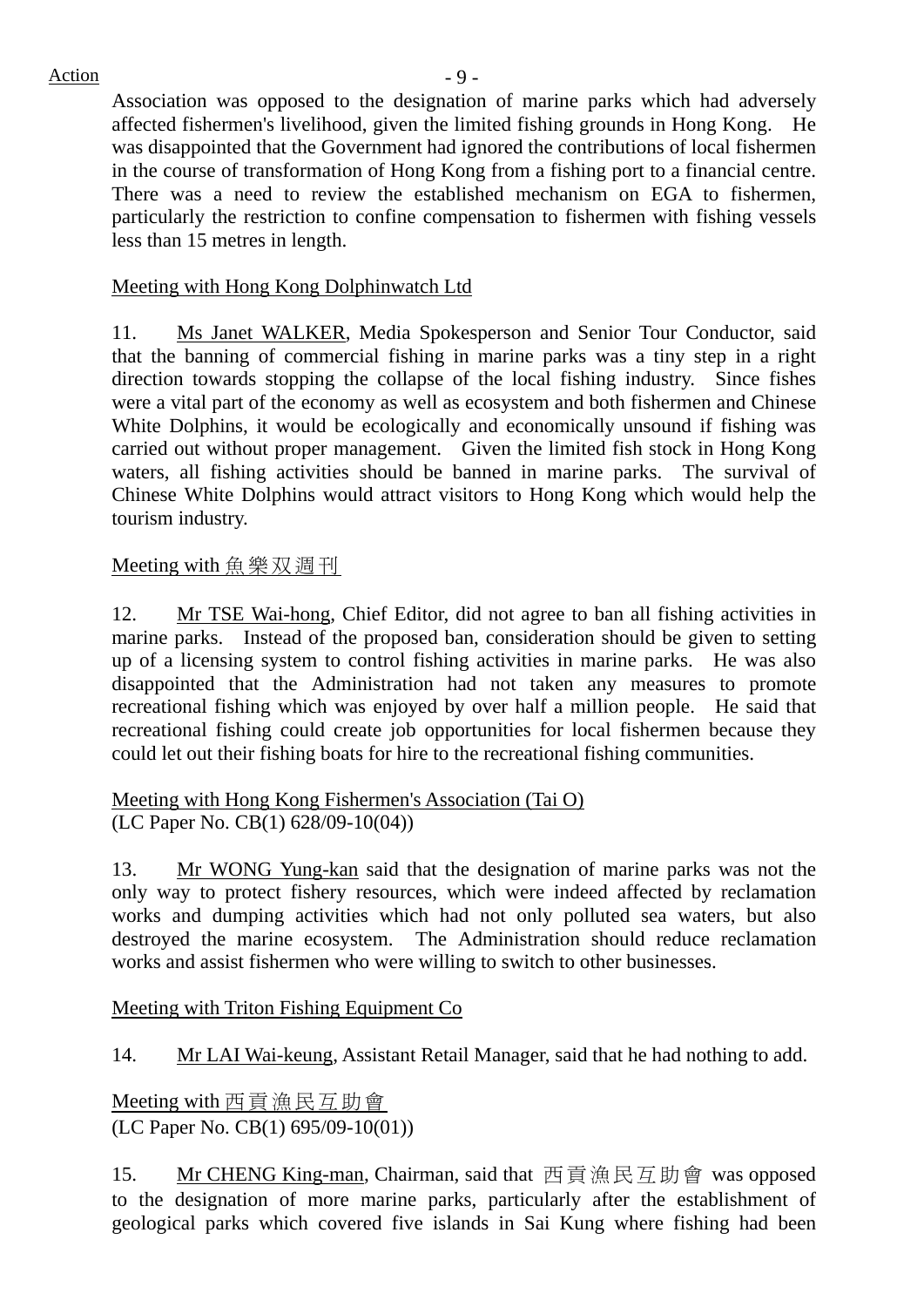## $Action$   $-9$  -

Association was opposed to the designation of marine parks which had adversely affected fishermen's livelihood, given the limited fishing grounds in Hong Kong. He was disappointed that the Government had ignored the contributions of local fishermen in the course of transformation of Hong Kong from a fishing port to a financial centre. There was a need to review the established mechanism on EGA to fishermen, particularly the restriction to confine compensation to fishermen with fishing vessels less than 15 metres in length.

### Meeting with Hong Kong Dolphinwatch Ltd

11. Ms Janet WALKER, Media Spokesperson and Senior Tour Conductor, said that the banning of commercial fishing in marine parks was a tiny step in a right direction towards stopping the collapse of the local fishing industry. Since fishes were a vital part of the economy as well as ecosystem and both fishermen and Chinese White Dolphins, it would be ecologically and economically unsound if fishing was carried out without proper management. Given the limited fish stock in Hong Kong waters, all fishing activities should be banned in marine parks. The survival of Chinese White Dolphins would attract visitors to Hong Kong which would help the tourism industry.

## Meeting with 魚樂双週刊

12. Mr TSE Wai-hong, Chief Editor, did not agree to ban all fishing activities in marine parks. Instead of the proposed ban, consideration should be given to setting up of a licensing system to control fishing activities in marine parks. He was also disappointed that the Administration had not taken any measures to promote recreational fishing which was enjoyed by over half a million people. He said that recreational fishing could create job opportunities for local fishermen because they could let out their fishing boats for hire to the recreational fishing communities.

Meeting with Hong Kong Fishermen's Association (Tai O) (LC Paper No. CB(1) 628/09-10(04))

13. Mr WONG Yung-kan said that the designation of marine parks was not the only way to protect fishery resources, which were indeed affected by reclamation works and dumping activities which had not only polluted sea waters, but also destroyed the marine ecosystem. The Administration should reduce reclamation works and assist fishermen who were willing to switch to other businesses.

Meeting with Triton Fishing Equipment Co

14. Mr LAI Wai-keung, Assistant Retail Manager, said that he had nothing to add.

Meeting with 西貢漁民互助會 (LC Paper No. CB(1) 695/09-10(01))

15. Mr CHENG King-man, Chairman, said that 西貢漁民互助會 was opposed to the designation of more marine parks, particularly after the establishment of geological parks which covered five islands in Sai Kung where fishing had been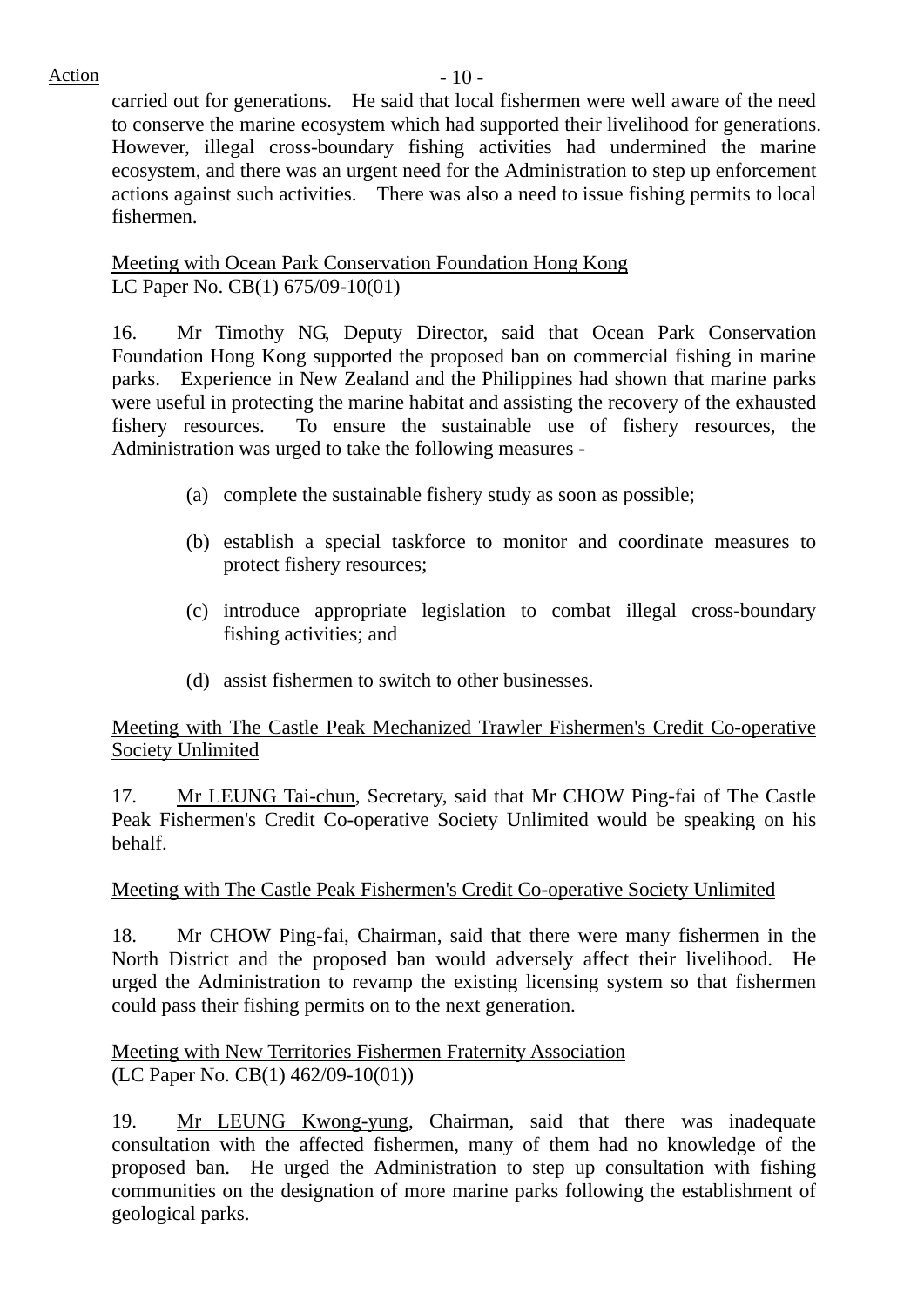carried out for generations. He said that local fishermen were well aware of the need to conserve the marine ecosystem which had supported their livelihood for generations. However, illegal cross-boundary fishing activities had undermined the marine ecosystem, and there was an urgent need for the Administration to step up enforcement actions against such activities. There was also a need to issue fishing permits to local fishermen.

## Meeting with Ocean Park Conservation Foundation Hong Kong LC Paper No. CB(1) 675/09-10(01)

16. Mr Timothy NG, Deputy Director, said that Ocean Park Conservation Foundation Hong Kong supported the proposed ban on commercial fishing in marine parks. Experience in New Zealand and the Philippines had shown that marine parks were useful in protecting the marine habitat and assisting the recovery of the exhausted fishery resources. To ensure the sustainable use of fishery resources, the Administration was urged to take the following measures -

- (a) complete the sustainable fishery study as soon as possible;
- (b) establish a special taskforce to monitor and coordinate measures to protect fishery resources;
- (c) introduce appropriate legislation to combat illegal cross-boundary fishing activities; and
- (d) assist fishermen to switch to other businesses.

## Meeting with The Castle Peak Mechanized Trawler Fishermen's Credit Co-operative Society Unlimited

17. Mr LEUNG Tai-chun, Secretary, said that Mr CHOW Ping-fai of The Castle Peak Fishermen's Credit Co-operative Society Unlimited would be speaking on his behalf.

## Meeting with The Castle Peak Fishermen's Credit Co-operative Society Unlimited

18. Mr CHOW Ping-fai, Chairman, said that there were many fishermen in the North District and the proposed ban would adversely affect their livelihood. He urged the Administration to revamp the existing licensing system so that fishermen could pass their fishing permits on to the next generation.

Meeting with New Territories Fishermen Fraternity Association (LC Paper No. CB(1) 462/09-10(01))

19. Mr LEUNG Kwong-yung, Chairman, said that there was inadequate consultation with the affected fishermen, many of them had no knowledge of the proposed ban. He urged the Administration to step up consultation with fishing communities on the designation of more marine parks following the establishment of geological parks.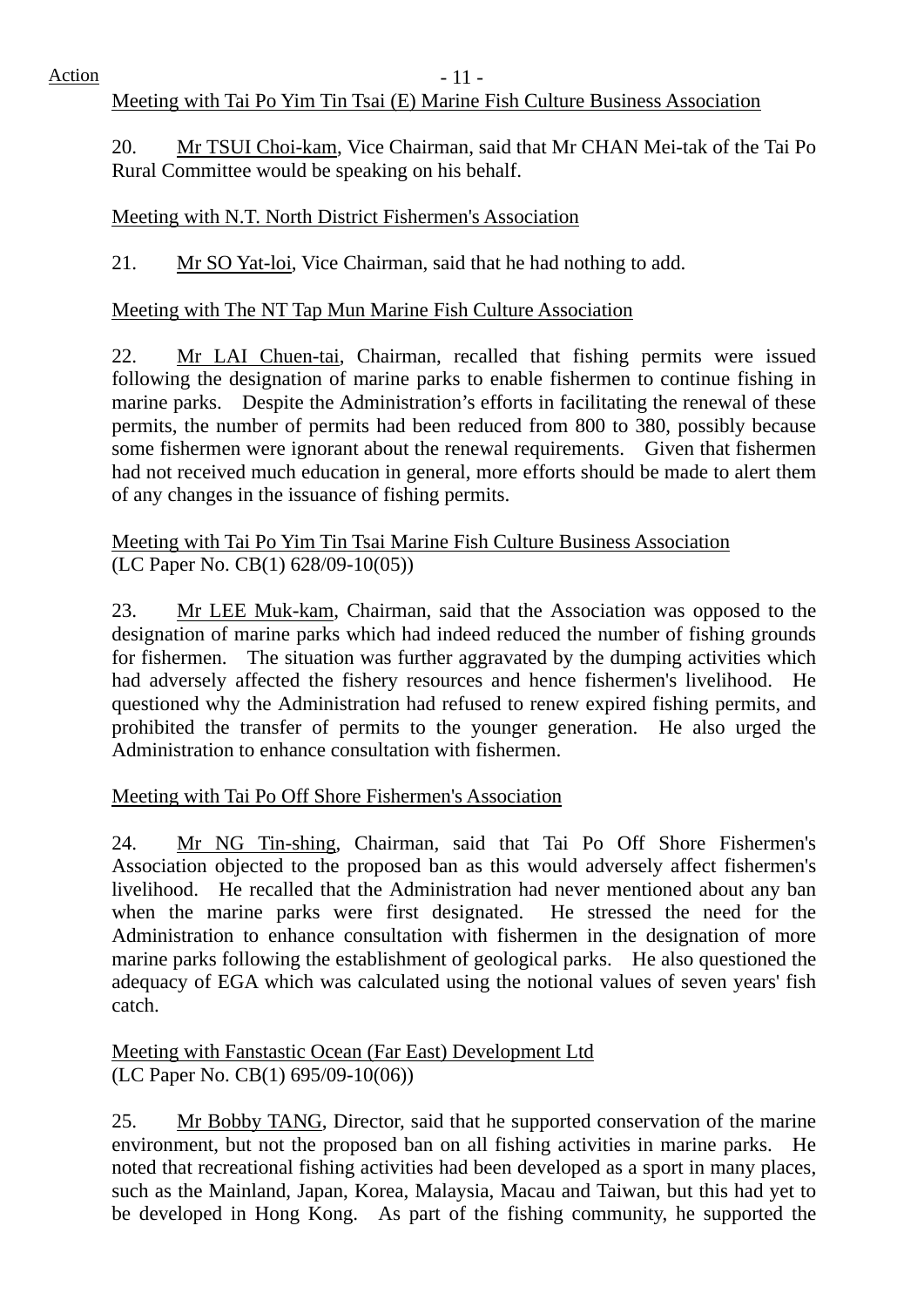## Meeting with Tai Po Yim Tin Tsai (E) Marine Fish Culture Business Association

20. Mr TSUI Choi-kam, Vice Chairman, said that Mr CHAN Mei-tak of the Tai Po Rural Committee would be speaking on his behalf.

## Meeting with N.T. North District Fishermen's Association

21. Mr SO Yat-loi, Vice Chairman, said that he had nothing to add.

## Meeting with The NT Tap Mun Marine Fish Culture Association

22. Mr LAI Chuen-tai, Chairman, recalled that fishing permits were issued following the designation of marine parks to enable fishermen to continue fishing in marine parks. Despite the Administration's efforts in facilitating the renewal of these permits, the number of permits had been reduced from 800 to 380, possibly because some fishermen were ignorant about the renewal requirements. Given that fishermen had not received much education in general, more efforts should be made to alert them of any changes in the issuance of fishing permits.

## Meeting with Tai Po Yim Tin Tsai Marine Fish Culture Business Association (LC Paper No. CB(1) 628/09-10(05))

23. Mr LEE Muk-kam, Chairman, said that the Association was opposed to the designation of marine parks which had indeed reduced the number of fishing grounds for fishermen. The situation was further aggravated by the dumping activities which had adversely affected the fishery resources and hence fishermen's livelihood. He questioned why the Administration had refused to renew expired fishing permits, and prohibited the transfer of permits to the younger generation. He also urged the Administration to enhance consultation with fishermen.

Meeting with Tai Po Off Shore Fishermen's Association

24. Mr NG Tin-shing, Chairman, said that Tai Po Off Shore Fishermen's Association objected to the proposed ban as this would adversely affect fishermen's livelihood. He recalled that the Administration had never mentioned about any ban when the marine parks were first designated. He stressed the need for the Administration to enhance consultation with fishermen in the designation of more marine parks following the establishment of geological parks. He also questioned the adequacy of EGA which was calculated using the notional values of seven years' fish catch.

Meeting with Fanstastic Ocean (Far East) Development Ltd (LC Paper No. CB(1) 695/09-10(06))

25. Mr Bobby TANG, Director, said that he supported conservation of the marine environment, but not the proposed ban on all fishing activities in marine parks. He noted that recreational fishing activities had been developed as a sport in many places, such as the Mainland, Japan, Korea, Malaysia, Macau and Taiwan, but this had yet to be developed in Hong Kong. As part of the fishing community, he supported the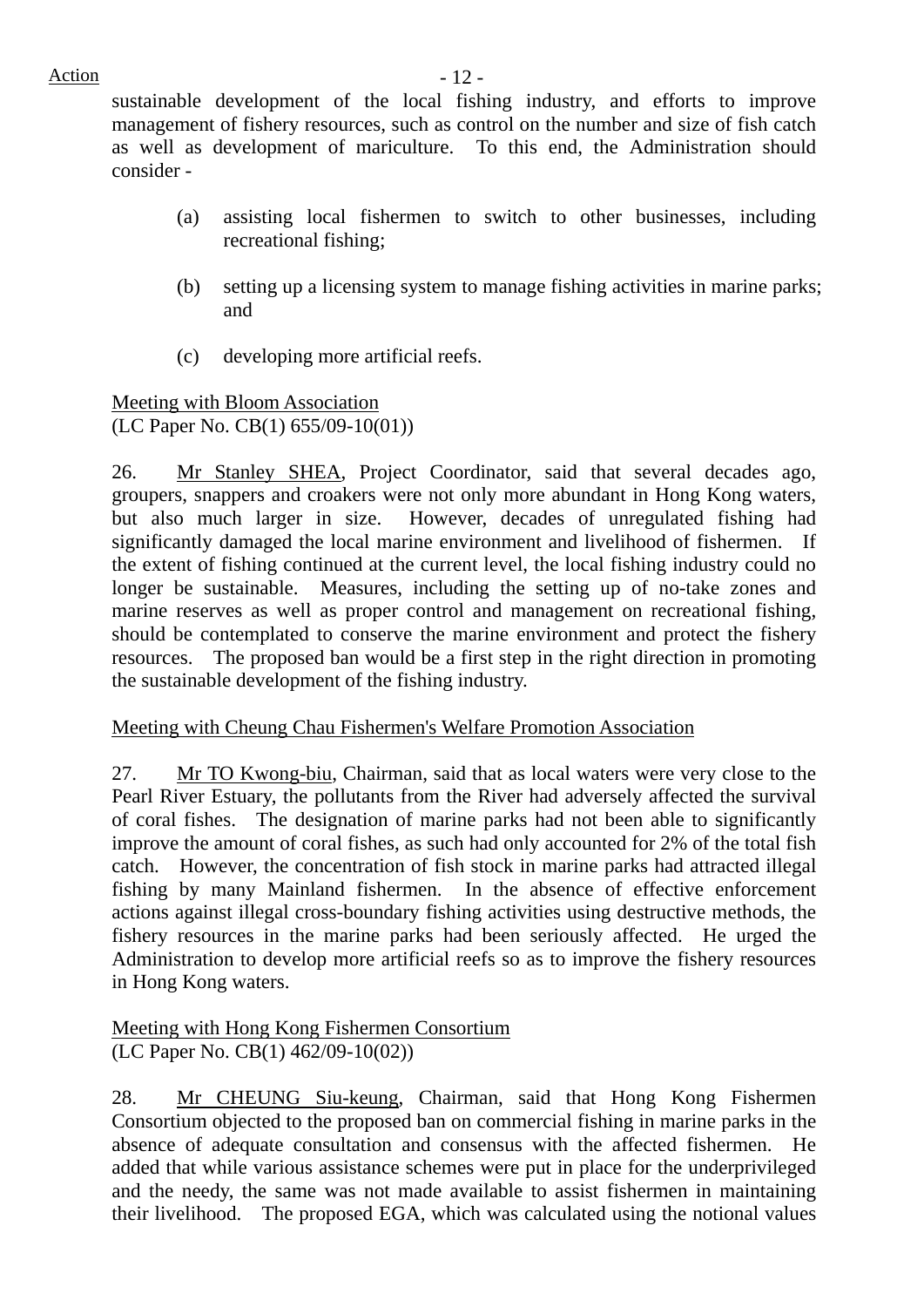sustainable development of the local fishing industry, and efforts to improve management of fishery resources, such as control on the number and size of fish catch as well as development of mariculture. To this end, the Administration should consider -

- (a) assisting local fishermen to switch to other businesses, including recreational fishing;
- (b) setting up a licensing system to manage fishing activities in marine parks; and
- (c) developing more artificial reefs.

Meeting with Bloom Association (LC Paper No. CB(1) 655/09-10(01))

26. Mr Stanley SHEA, Project Coordinator, said that several decades ago, groupers, snappers and croakers were not only more abundant in Hong Kong waters, but also much larger in size. However, decades of unregulated fishing had significantly damaged the local marine environment and livelihood of fishermen. If the extent of fishing continued at the current level, the local fishing industry could no longer be sustainable. Measures, including the setting up of no-take zones and marine reserves as well as proper control and management on recreational fishing, should be contemplated to conserve the marine environment and protect the fishery resources. The proposed ban would be a first step in the right direction in promoting the sustainable development of the fishing industry.

#### Meeting with Cheung Chau Fishermen's Welfare Promotion Association

27. Mr TO Kwong-biu, Chairman, said that as local waters were very close to the Pearl River Estuary, the pollutants from the River had adversely affected the survival of coral fishes. The designation of marine parks had not been able to significantly improve the amount of coral fishes, as such had only accounted for 2% of the total fish catch. However, the concentration of fish stock in marine parks had attracted illegal fishing by many Mainland fishermen. In the absence of effective enforcement actions against illegal cross-boundary fishing activities using destructive methods, the fishery resources in the marine parks had been seriously affected. He urged the Administration to develop more artificial reefs so as to improve the fishery resources in Hong Kong waters.

#### Meeting with Hong Kong Fishermen Consortium (LC Paper No. CB(1) 462/09-10(02))

28. Mr CHEUNG Siu-keung, Chairman, said that Hong Kong Fishermen Consortium objected to the proposed ban on commercial fishing in marine parks in the absence of adequate consultation and consensus with the affected fishermen. He added that while various assistance schemes were put in place for the underprivileged and the needy, the same was not made available to assist fishermen in maintaining their livelihood. The proposed EGA, which was calculated using the notional values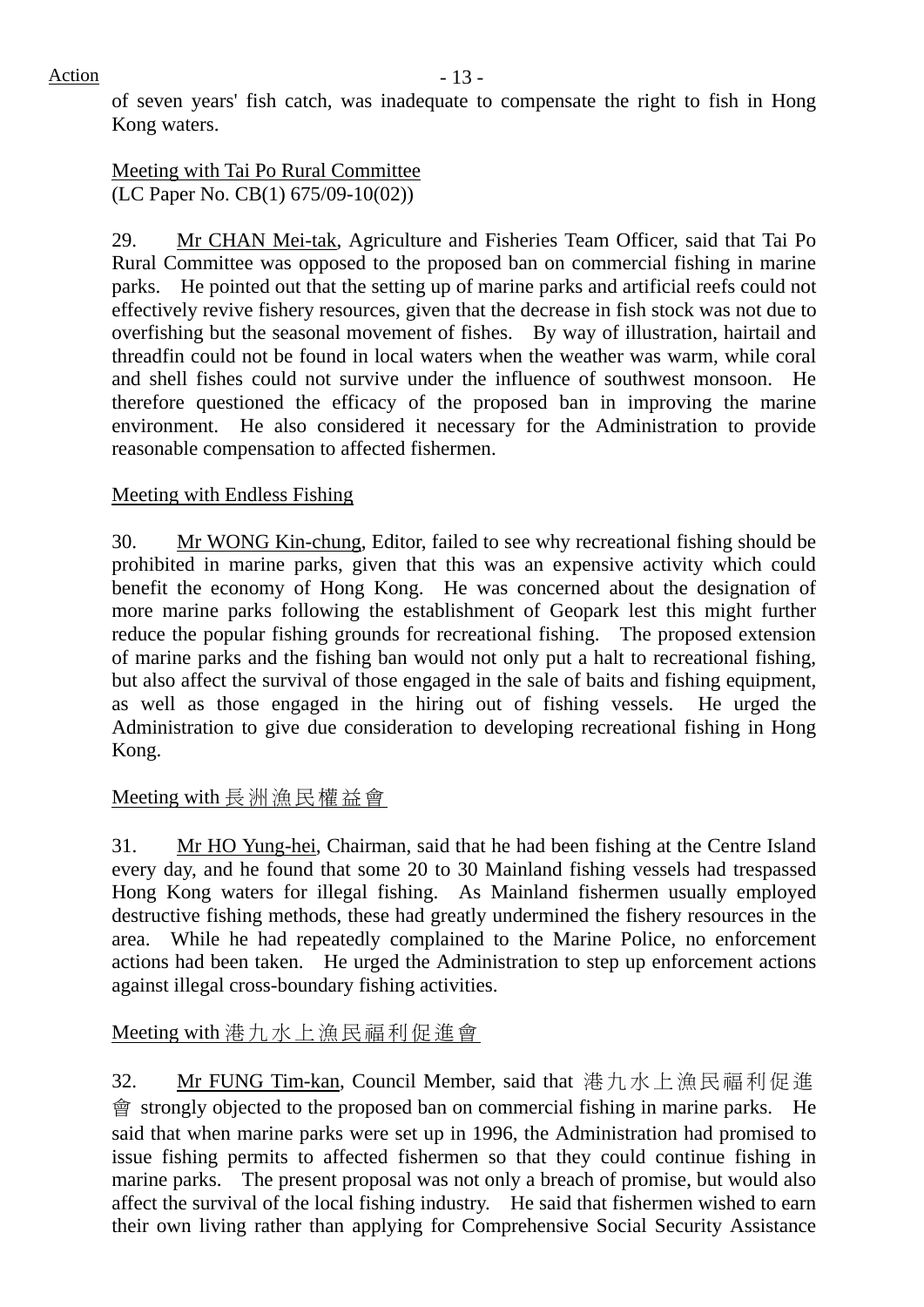of seven years' fish catch, was inadequate to compensate the right to fish in Hong Kong waters.

## Meeting with Tai Po Rural Committee (LC Paper No. CB(1) 675/09-10(02))

29. Mr CHAN Mei-tak, Agriculture and Fisheries Team Officer, said that Tai Po Rural Committee was opposed to the proposed ban on commercial fishing in marine parks. He pointed out that the setting up of marine parks and artificial reefs could not effectively revive fishery resources, given that the decrease in fish stock was not due to overfishing but the seasonal movement of fishes. By way of illustration, hairtail and threadfin could not be found in local waters when the weather was warm, while coral and shell fishes could not survive under the influence of southwest monsoon. He therefore questioned the efficacy of the proposed ban in improving the marine environment. He also considered it necessary for the Administration to provide reasonable compensation to affected fishermen.

# Meeting with Endless Fishing

30. Mr WONG Kin-chung, Editor, failed to see why recreational fishing should be prohibited in marine parks, given that this was an expensive activity which could benefit the economy of Hong Kong. He was concerned about the designation of more marine parks following the establishment of Geopark lest this might further reduce the popular fishing grounds for recreational fishing. The proposed extension of marine parks and the fishing ban would not only put a halt to recreational fishing, but also affect the survival of those engaged in the sale of baits and fishing equipment, as well as those engaged in the hiring out of fishing vessels. He urged the Administration to give due consideration to developing recreational fishing in Hong Kong.

Meeting with 長洲漁民權益會

31. Mr HO Yung-hei, Chairman, said that he had been fishing at the Centre Island every day, and he found that some 20 to 30 Mainland fishing vessels had trespassed Hong Kong waters for illegal fishing. As Mainland fishermen usually employed destructive fishing methods, these had greatly undermined the fishery resources in the area. While he had repeatedly complained to the Marine Police, no enforcement actions had been taken. He urged the Administration to step up enforcement actions against illegal cross-boundary fishing activities.

Meeting with 港九水上漁民福利促進會

32. Mr FUNG Tim-kan, Council Member, said that 港九水上漁民福利促進 會 strongly objected to the proposed ban on commercial fishing in marine parks. He said that when marine parks were set up in 1996, the Administration had promised to issue fishing permits to affected fishermen so that they could continue fishing in marine parks. The present proposal was not only a breach of promise, but would also affect the survival of the local fishing industry. He said that fishermen wished to earn their own living rather than applying for Comprehensive Social Security Assistance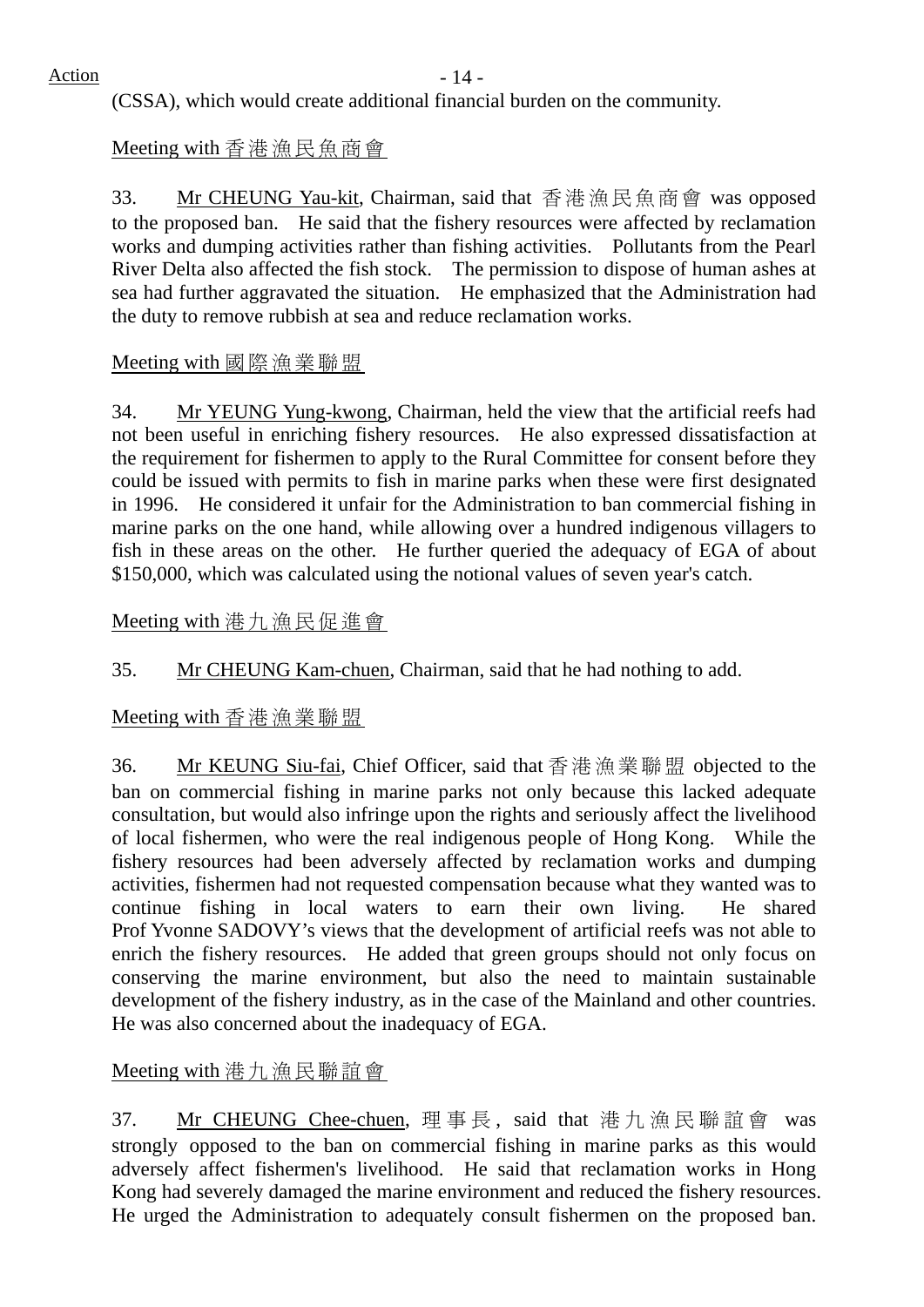(CSSA), which would create additional financial burden on the community.

# Meeting with 香港漁民魚商會

33. Mr CHEUNG Yau-kit, Chairman, said that 香港漁民魚商會 was opposed to the proposed ban. He said that the fishery resources were affected by reclamation works and dumping activities rather than fishing activities. Pollutants from the Pearl River Delta also affected the fish stock. The permission to dispose of human ashes at sea had further aggravated the situation. He emphasized that the Administration had the duty to remove rubbish at sea and reduce reclamation works.

## Meeting with 國際漁業聯盟

34. Mr YEUNG Yung-kwong, Chairman, held the view that the artificial reefs had not been useful in enriching fishery resources. He also expressed dissatisfaction at the requirement for fishermen to apply to the Rural Committee for consent before they could be issued with permits to fish in marine parks when these were first designated in 1996. He considered it unfair for the Administration to ban commercial fishing in marine parks on the one hand, while allowing over a hundred indigenous villagers to fish in these areas on the other. He further queried the adequacy of EGA of about \$150,000, which was calculated using the notional values of seven year's catch.

# Meeting with 港九漁民促進會

35. Mr CHEUNG Kam-chuen, Chairman, said that he had nothing to add.

# Meeting with 香港漁業聯盟

36. Mr KEUNG Siu-fai, Chief Officer, said that 香港漁業聯盟 objected to the ban on commercial fishing in marine parks not only because this lacked adequate consultation, but would also infringe upon the rights and seriously affect the livelihood of local fishermen, who were the real indigenous people of Hong Kong. While the fishery resources had been adversely affected by reclamation works and dumping activities, fishermen had not requested compensation because what they wanted was to continue fishing in local waters to earn their own living. He shared Prof Yvonne SADOVY's views that the development of artificial reefs was not able to enrich the fishery resources. He added that green groups should not only focus on conserving the marine environment, but also the need to maintain sustainable development of the fishery industry, as in the case of the Mainland and other countries. He was also concerned about the inadequacy of EGA.

# Meeting with 港九漁民聯誼會

37. Mr CHEUNG Chee-chuen, 理事長 , said that 港九漁民聯誼會 was strongly opposed to the ban on commercial fishing in marine parks as this would adversely affect fishermen's livelihood. He said that reclamation works in Hong Kong had severely damaged the marine environment and reduced the fishery resources. He urged the Administration to adequately consult fishermen on the proposed ban.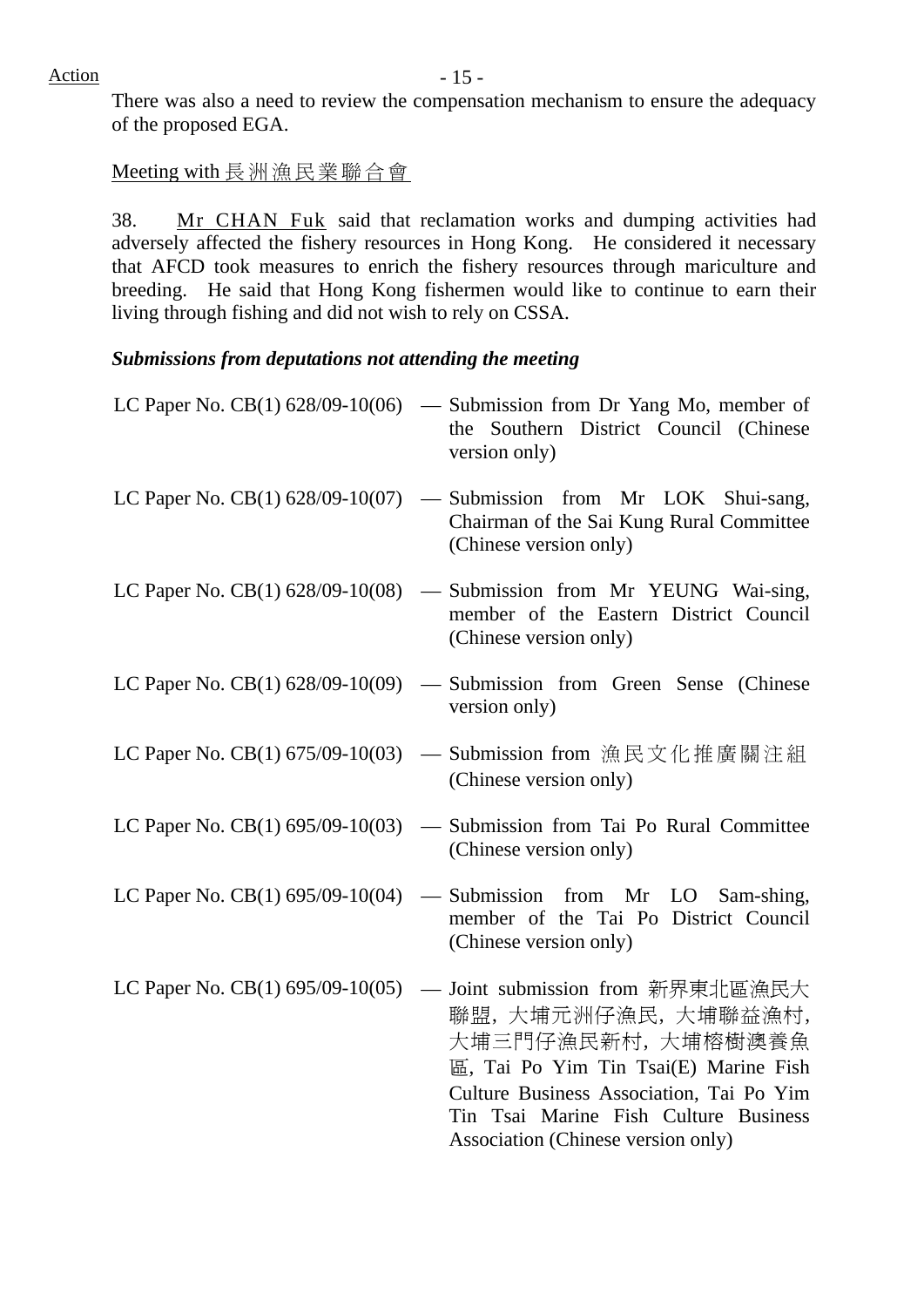$Action$  - 15 -

There was also a need to review the compensation mechanism to ensure the adequacy of the proposed EGA.

#### Meeting with 長洲漁民業聯合會

38. Mr CHAN Fuk said that reclamation works and dumping activities had adversely affected the fishery resources in Hong Kong. He considered it necessary that AFCD took measures to enrich the fishery resources through mariculture and breeding. He said that Hong Kong fishermen would like to continue to earn their living through fishing and did not wish to rely on CSSA.

#### *Submissions from deputations not attending the meeting*

|                                     | LC Paper No. CB(1) $628/09-10(06)$ — Submission from Dr Yang Mo, member of<br>the Southern District Council (Chinese<br>version only)                                                                                                                                             |
|-------------------------------------|-----------------------------------------------------------------------------------------------------------------------------------------------------------------------------------------------------------------------------------------------------------------------------------|
|                                     | LC Paper No. CB(1) $628/09-10(07)$ — Submission from Mr LOK Shui-sang,<br>Chairman of the Sai Kung Rural Committee<br>(Chinese version only)                                                                                                                                      |
|                                     | LC Paper No. $CB(1)$ 628/09-10(08) — Submission from Mr YEUNG Wai-sing,<br>member of the Eastern District Council<br>(Chinese version only)                                                                                                                                       |
|                                     | LC Paper No. $CB(1)$ 628/09-10(09) — Submission from Green Sense (Chinese<br>version only)                                                                                                                                                                                        |
|                                     | LC Paper No. CB(1) 675/09-10(03) — Submission from 漁民文化推廣關注組<br>(Chinese version only)                                                                                                                                                                                            |
|                                     | LC Paper No. $CB(1)$ 695/09-10(03) — Submission from Tai Po Rural Committee<br>(Chinese version only)                                                                                                                                                                             |
| LC Paper No. CB $(1)$ 695/09-10(04) | - Submission from Mr LO Sam-shing,<br>member of the Tai Po District Council<br>(Chinese version only)                                                                                                                                                                             |
|                                     | LC Paper No. CB(1) 695/09-10(05) — Joint submission from 新界東北區漁民大<br>聯盟,大埔元洲仔漁民,大埔聯益漁村,<br>大埔三門仔漁民新村, 大埔榕樹澳養魚<br>區, Tai Po Yim Tin Tsai(E) Marine Fish<br>Culture Business Association, Tai Po Yim<br>Tin Tsai Marine Fish Culture Business<br>Association (Chinese version only) |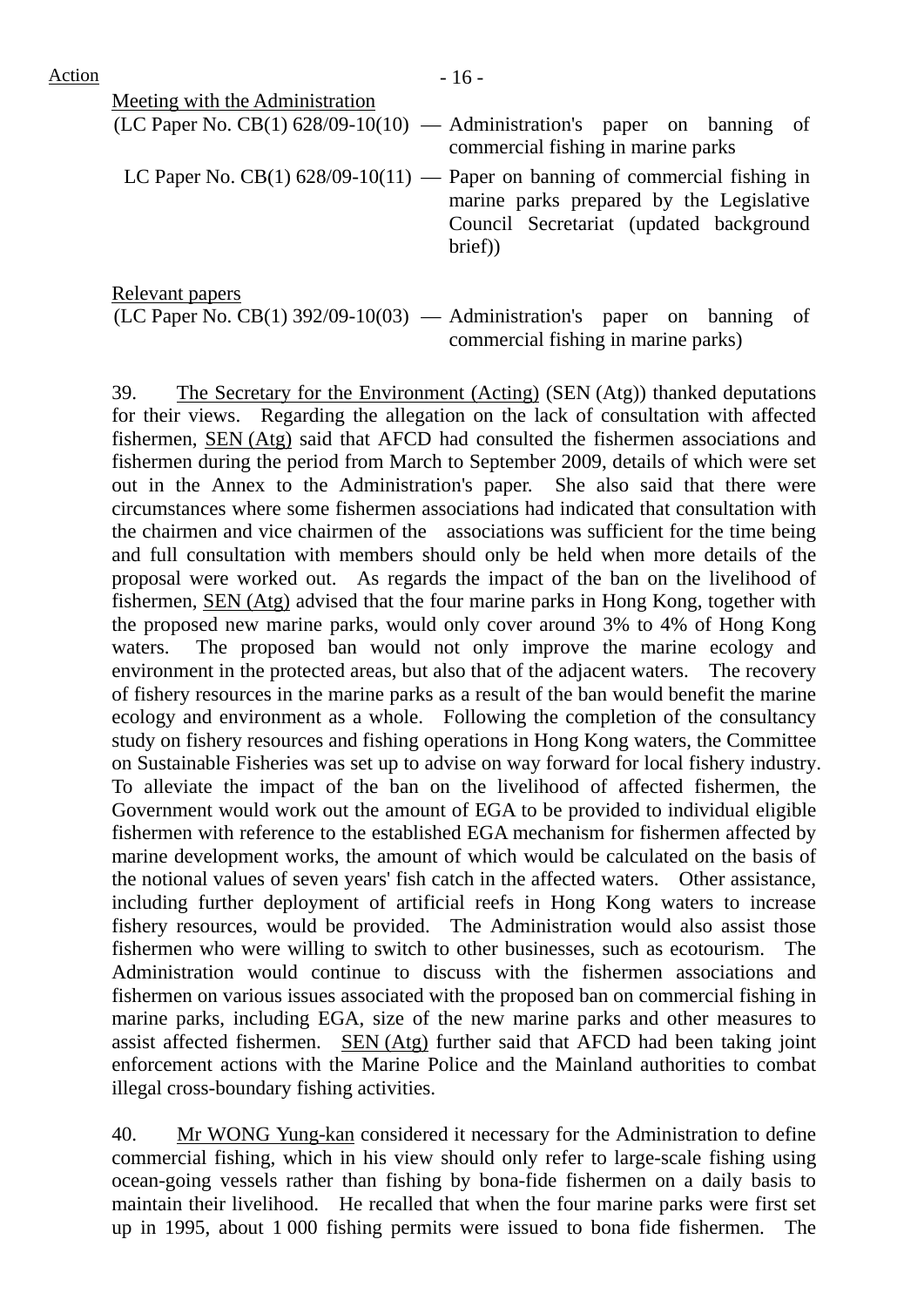| Meeting with the Administration |                                                                                                                                                                                 |
|---------------------------------|---------------------------------------------------------------------------------------------------------------------------------------------------------------------------------|
|                                 | $(LC$ Paper No. $CB(1)$ 628/09-10(10) — Administration's paper on banning of<br>commercial fishing in marine parks                                                              |
|                                 | LC Paper No. $CB(1)$ 628/09-10(11) — Paper on banning of commercial fishing in<br>marine parks prepared by the Legislative<br>Council Secretariat (updated background<br>brief) |
| Relevant papers                 |                                                                                                                                                                                 |

 $(LC$  Paper No.  $CB(1)$  392/09-10(03) — Administration's paper on banning of commercial fishing in marine parks)

39. The Secretary for the Environment (Acting) (SEN (Atg)) thanked deputations for their views. Regarding the allegation on the lack of consultation with affected fishermen, SEN (Atg) said that AFCD had consulted the fishermen associations and fishermen during the period from March to September 2009, details of which were set out in the Annex to the Administration's paper. She also said that there were circumstances where some fishermen associations had indicated that consultation with the chairmen and vice chairmen of the associations was sufficient for the time being and full consultation with members should only be held when more details of the proposal were worked out. As regards the impact of the ban on the livelihood of fishermen, SEN (Atg) advised that the four marine parks in Hong Kong, together with the proposed new marine parks, would only cover around 3% to 4% of Hong Kong waters. The proposed ban would not only improve the marine ecology and environment in the protected areas, but also that of the adjacent waters. The recovery of fishery resources in the marine parks as a result of the ban would benefit the marine ecology and environment as a whole. Following the completion of the consultancy study on fishery resources and fishing operations in Hong Kong waters, the Committee on Sustainable Fisheries was set up to advise on way forward for local fishery industry. To alleviate the impact of the ban on the livelihood of affected fishermen, the Government would work out the amount of EGA to be provided to individual eligible fishermen with reference to the established EGA mechanism for fishermen affected by marine development works, the amount of which would be calculated on the basis of the notional values of seven years' fish catch in the affected waters. Other assistance, including further deployment of artificial reefs in Hong Kong waters to increase fishery resources, would be provided. The Administration would also assist those fishermen who were willing to switch to other businesses, such as ecotourism. The Administration would continue to discuss with the fishermen associations and fishermen on various issues associated with the proposed ban on commercial fishing in marine parks, including EGA, size of the new marine parks and other measures to assist affected fishermen. SEN (Atg) further said that AFCD had been taking joint enforcement actions with the Marine Police and the Mainland authorities to combat illegal cross-boundary fishing activities.

40. Mr WONG Yung-kan considered it necessary for the Administration to define commercial fishing, which in his view should only refer to large-scale fishing using ocean-going vessels rather than fishing by bona-fide fishermen on a daily basis to maintain their livelihood. He recalled that when the four marine parks were first set up in 1995, about 1 000 fishing permits were issued to bona fide fishermen. The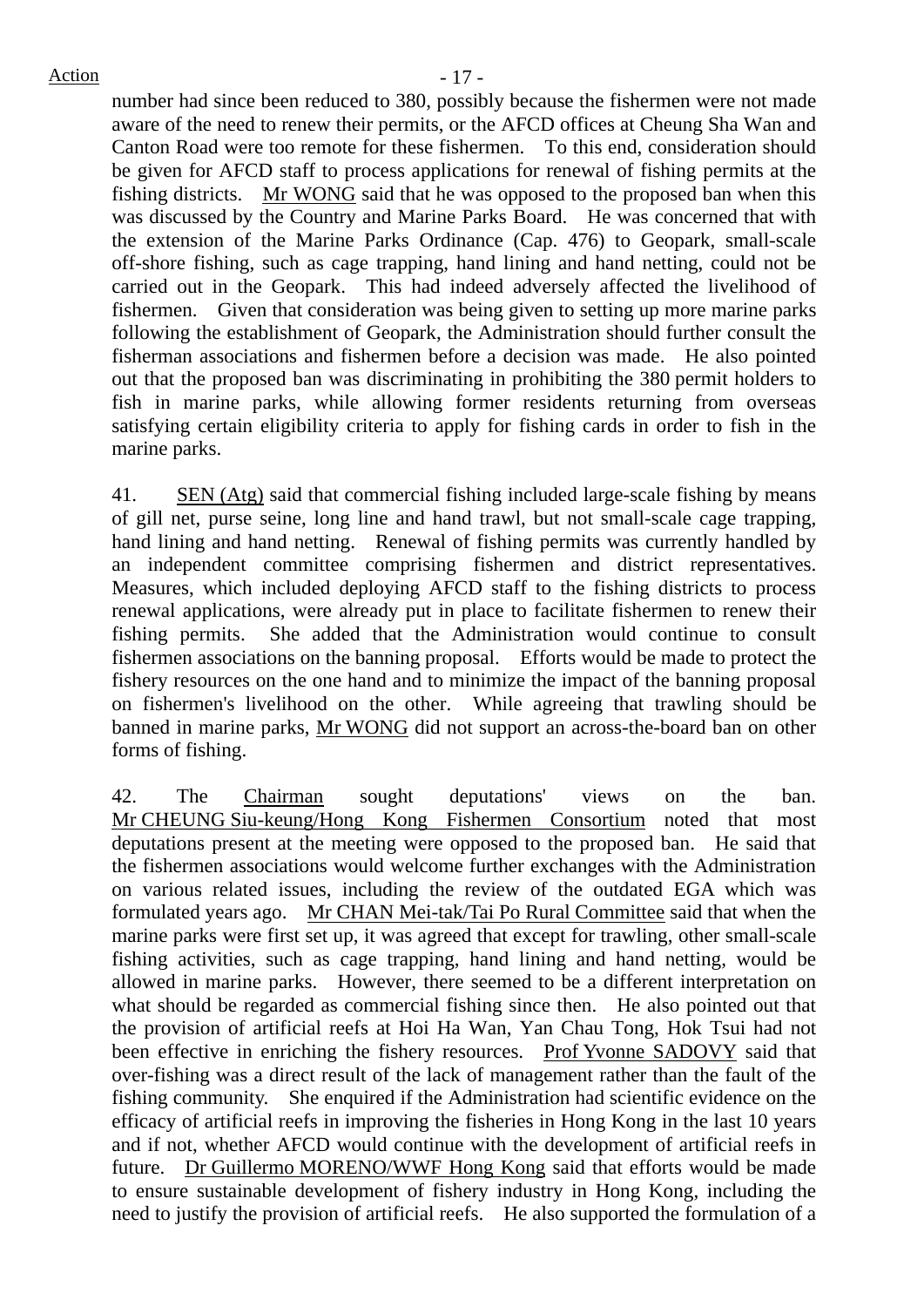$Action$   $-17$  -

number had since been reduced to 380, possibly because the fishermen were not made aware of the need to renew their permits, or the AFCD offices at Cheung Sha Wan and Canton Road were too remote for these fishermen. To this end, consideration should be given for AFCD staff to process applications for renewal of fishing permits at the fishing districts. Mr WONG said that he was opposed to the proposed ban when this was discussed by the Country and Marine Parks Board. He was concerned that with the extension of the Marine Parks Ordinance (Cap. 476) to Geopark, small-scale off-shore fishing, such as cage trapping, hand lining and hand netting, could not be carried out in the Geopark. This had indeed adversely affected the livelihood of fishermen. Given that consideration was being given to setting up more marine parks following the establishment of Geopark, the Administration should further consult the fisherman associations and fishermen before a decision was made. He also pointed out that the proposed ban was discriminating in prohibiting the 380 permit holders to fish in marine parks, while allowing former residents returning from overseas satisfying certain eligibility criteria to apply for fishing cards in order to fish in the marine parks.

41. SEN (Atg) said that commercial fishing included large-scale fishing by means of gill net, purse seine, long line and hand trawl, but not small-scale cage trapping, hand lining and hand netting. Renewal of fishing permits was currently handled by an independent committee comprising fishermen and district representatives. Measures, which included deploying AFCD staff to the fishing districts to process renewal applications, were already put in place to facilitate fishermen to renew their fishing permits. She added that the Administration would continue to consult fishermen associations on the banning proposal. Efforts would be made to protect the fishery resources on the one hand and to minimize the impact of the banning proposal on fishermen's livelihood on the other. While agreeing that trawling should be banned in marine parks, Mr WONG did not support an across-the-board ban on other forms of fishing.

42. The Chairman sought deputations' views on the ban. Mr CHEUNG Siu-keung/Hong Kong Fishermen Consortium noted that most deputations present at the meeting were opposed to the proposed ban. He said that the fishermen associations would welcome further exchanges with the Administration on various related issues, including the review of the outdated EGA which was formulated years ago. Mr CHAN Mei-tak/Tai Po Rural Committee said that when the marine parks were first set up, it was agreed that except for trawling, other small-scale fishing activities, such as cage trapping, hand lining and hand netting, would be allowed in marine parks. However, there seemed to be a different interpretation on what should be regarded as commercial fishing since then. He also pointed out that the provision of artificial reefs at Hoi Ha Wan, Yan Chau Tong, Hok Tsui had not been effective in enriching the fishery resources. Prof Yvonne SADOVY said that over-fishing was a direct result of the lack of management rather than the fault of the fishing community. She enquired if the Administration had scientific evidence on the efficacy of artificial reefs in improving the fisheries in Hong Kong in the last 10 years and if not, whether AFCD would continue with the development of artificial reefs in future. Dr Guillermo MORENO/WWF Hong Kong said that efforts would be made to ensure sustainable development of fishery industry in Hong Kong, including the need to justify the provision of artificial reefs. He also supported the formulation of a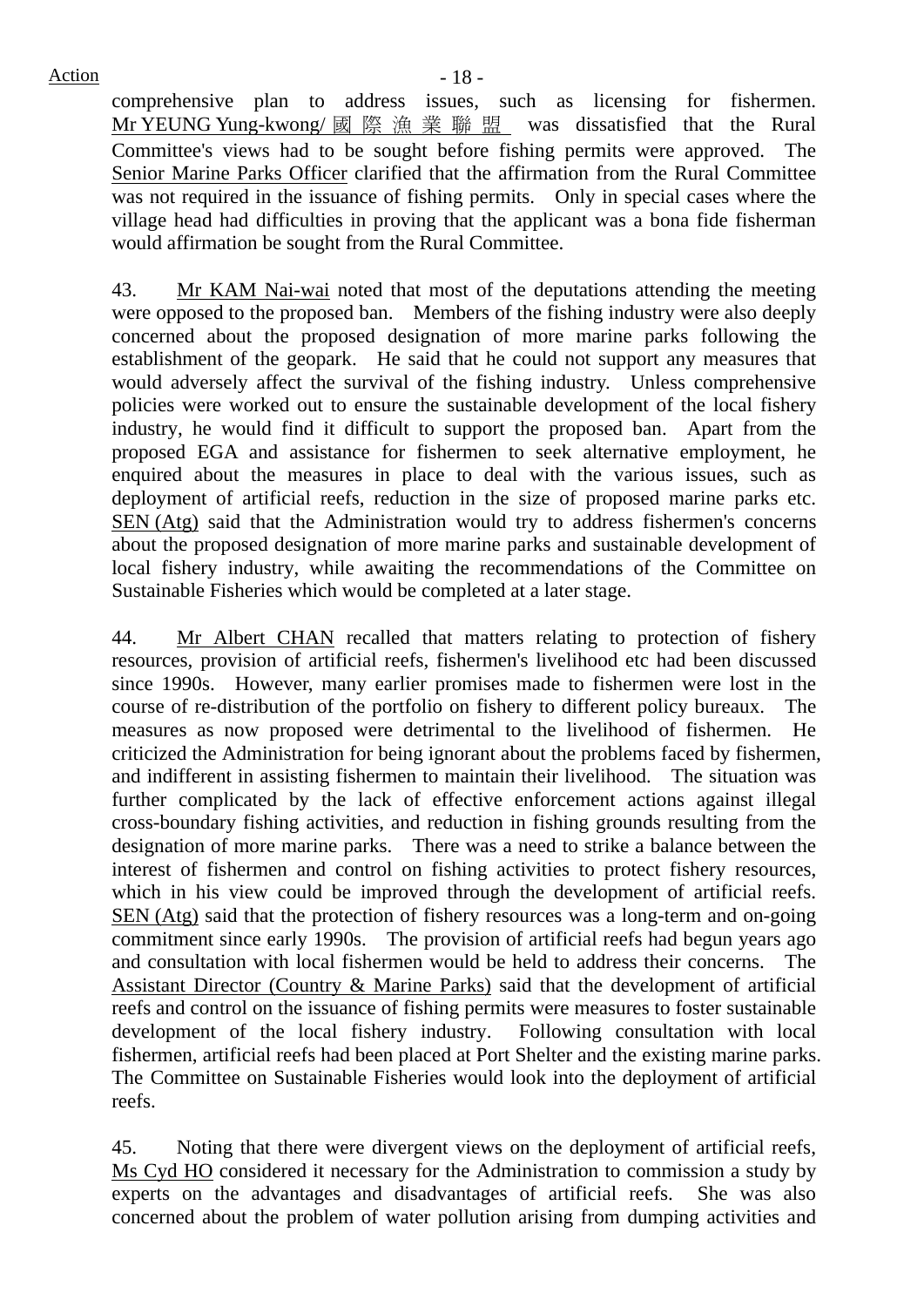comprehensive plan to address issues, such as licensing for fishermen. Mr YEUNG Yung-kwong/ 國際漁業聯盟 was dissatisfied that the Rural Committee's views had to be sought before fishing permits were approved. The Senior Marine Parks Officer clarified that the affirmation from the Rural Committee was not required in the issuance of fishing permits. Only in special cases where the village head had difficulties in proving that the applicant was a bona fide fisherman would affirmation be sought from the Rural Committee.

43. Mr KAM Nai-wai noted that most of the deputations attending the meeting were opposed to the proposed ban. Members of the fishing industry were also deeply concerned about the proposed designation of more marine parks following the establishment of the geopark. He said that he could not support any measures that would adversely affect the survival of the fishing industry. Unless comprehensive policies were worked out to ensure the sustainable development of the local fishery industry, he would find it difficult to support the proposed ban. Apart from the proposed EGA and assistance for fishermen to seek alternative employment, he enquired about the measures in place to deal with the various issues, such as deployment of artificial reefs, reduction in the size of proposed marine parks etc. SEN (Atg) said that the Administration would try to address fishermen's concerns about the proposed designation of more marine parks and sustainable development of local fishery industry, while awaiting the recommendations of the Committee on Sustainable Fisheries which would be completed at a later stage.

44. Mr Albert CHAN recalled that matters relating to protection of fishery resources, provision of artificial reefs, fishermen's livelihood etc had been discussed since 1990s. However, many earlier promises made to fishermen were lost in the course of re-distribution of the portfolio on fishery to different policy bureaux. The measures as now proposed were detrimental to the livelihood of fishermen. He criticized the Administration for being ignorant about the problems faced by fishermen, and indifferent in assisting fishermen to maintain their livelihood. The situation was further complicated by the lack of effective enforcement actions against illegal cross-boundary fishing activities, and reduction in fishing grounds resulting from the designation of more marine parks. There was a need to strike a balance between the interest of fishermen and control on fishing activities to protect fishery resources, which in his view could be improved through the development of artificial reefs. SEN (Atg) said that the protection of fishery resources was a long-term and on-going commitment since early 1990s. The provision of artificial reefs had begun years ago and consultation with local fishermen would be held to address their concerns. The Assistant Director (Country & Marine Parks) said that the development of artificial reefs and control on the issuance of fishing permits were measures to foster sustainable development of the local fishery industry. Following consultation with local fishermen, artificial reefs had been placed at Port Shelter and the existing marine parks. The Committee on Sustainable Fisheries would look into the deployment of artificial reefs.

45. Noting that there were divergent views on the deployment of artificial reefs, Ms Cyd HO considered it necessary for the Administration to commission a study by experts on the advantages and disadvantages of artificial reefs. She was also concerned about the problem of water pollution arising from dumping activities and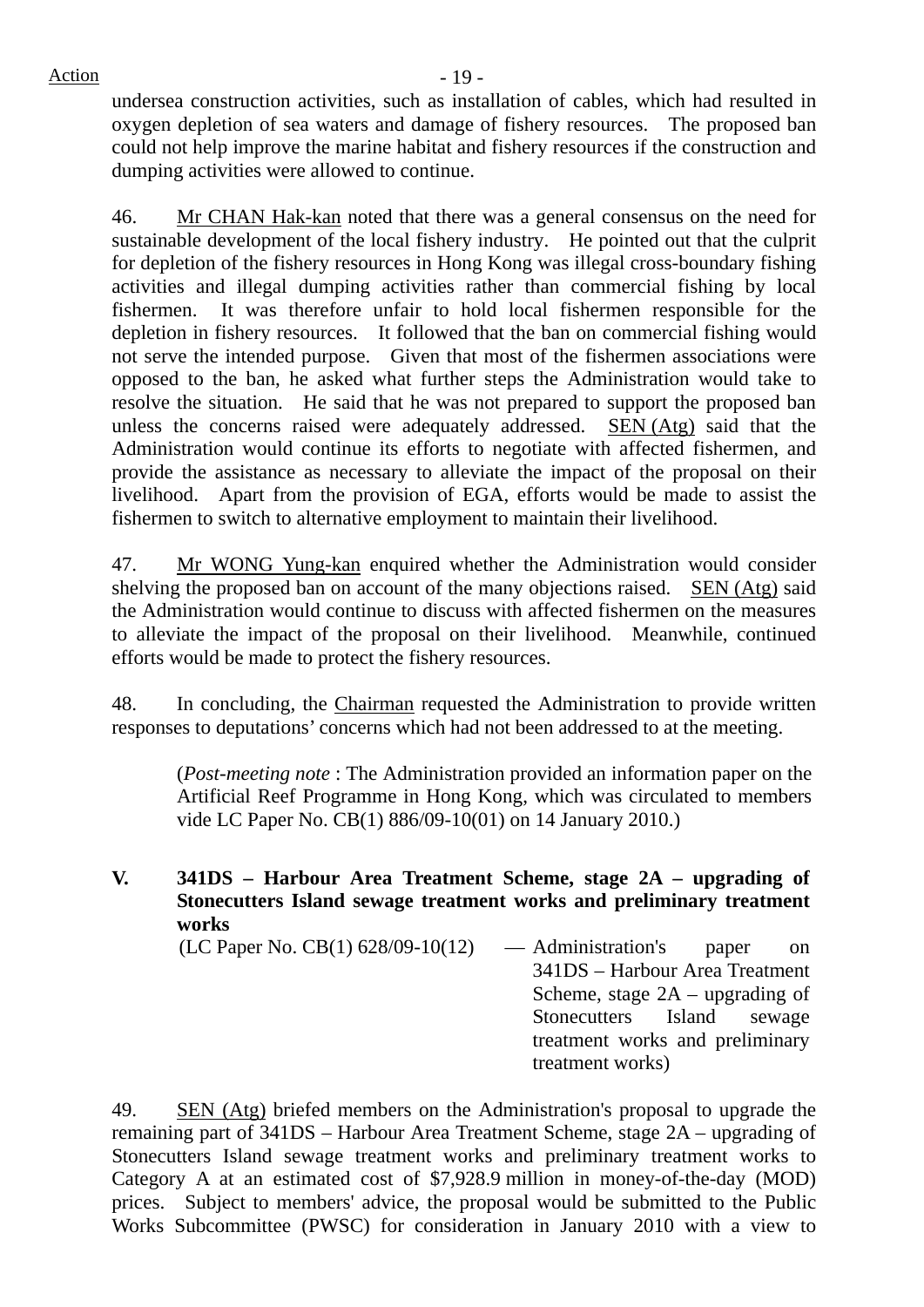$Action$   $-19$  -

undersea construction activities, such as installation of cables, which had resulted in oxygen depletion of sea waters and damage of fishery resources. The proposed ban could not help improve the marine habitat and fishery resources if the construction and dumping activities were allowed to continue.

46. Mr CHAN Hak-kan noted that there was a general consensus on the need for sustainable development of the local fishery industry. He pointed out that the culprit for depletion of the fishery resources in Hong Kong was illegal cross-boundary fishing activities and illegal dumping activities rather than commercial fishing by local fishermen. It was therefore unfair to hold local fishermen responsible for the depletion in fishery resources. It followed that the ban on commercial fishing would not serve the intended purpose. Given that most of the fishermen associations were opposed to the ban, he asked what further steps the Administration would take to resolve the situation. He said that he was not prepared to support the proposed ban unless the concerns raised were adequately addressed. SEN (Atg) said that the Administration would continue its efforts to negotiate with affected fishermen, and provide the assistance as necessary to alleviate the impact of the proposal on their livelihood. Apart from the provision of EGA, efforts would be made to assist the fishermen to switch to alternative employment to maintain their livelihood.

47. Mr WONG Yung-kan enquired whether the Administration would consider shelving the proposed ban on account of the many objections raised. SEN (Atg) said the Administration would continue to discuss with affected fishermen on the measures to alleviate the impact of the proposal on their livelihood. Meanwhile, continued efforts would be made to protect the fishery resources.

48. In concluding, the Chairman requested the Administration to provide written responses to deputations' concerns which had not been addressed to at the meeting.

(*Post-meeting note* : The Administration provided an information paper on the Artificial Reef Programme in Hong Kong, which was circulated to members vide LC Paper No. CB(1) 886/09-10(01) on 14 January 2010.)

**V. 341DS – Harbour Area Treatment Scheme, stage 2A – upgrading of Stonecutters Island sewage treatment works and preliminary treatment works** (LC Paper No. CB(1) 628/09-10(12) — Administration's paper on 341DS – Harbour Area Treatment Scheme, stage 2A – upgrading of Stonecutters Island sewage treatment works and preliminary

49. SEN (Atg) briefed members on the Administration's proposal to upgrade the remaining part of 341DS – Harbour Area Treatment Scheme, stage 2A – upgrading of Stonecutters Island sewage treatment works and preliminary treatment works to Category A at an estimated cost of \$7,928.9 million in money-of-the-day (MOD) prices. Subject to members' advice, the proposal would be submitted to the Public Works Subcommittee (PWSC) for consideration in January 2010 with a view to

treatment works)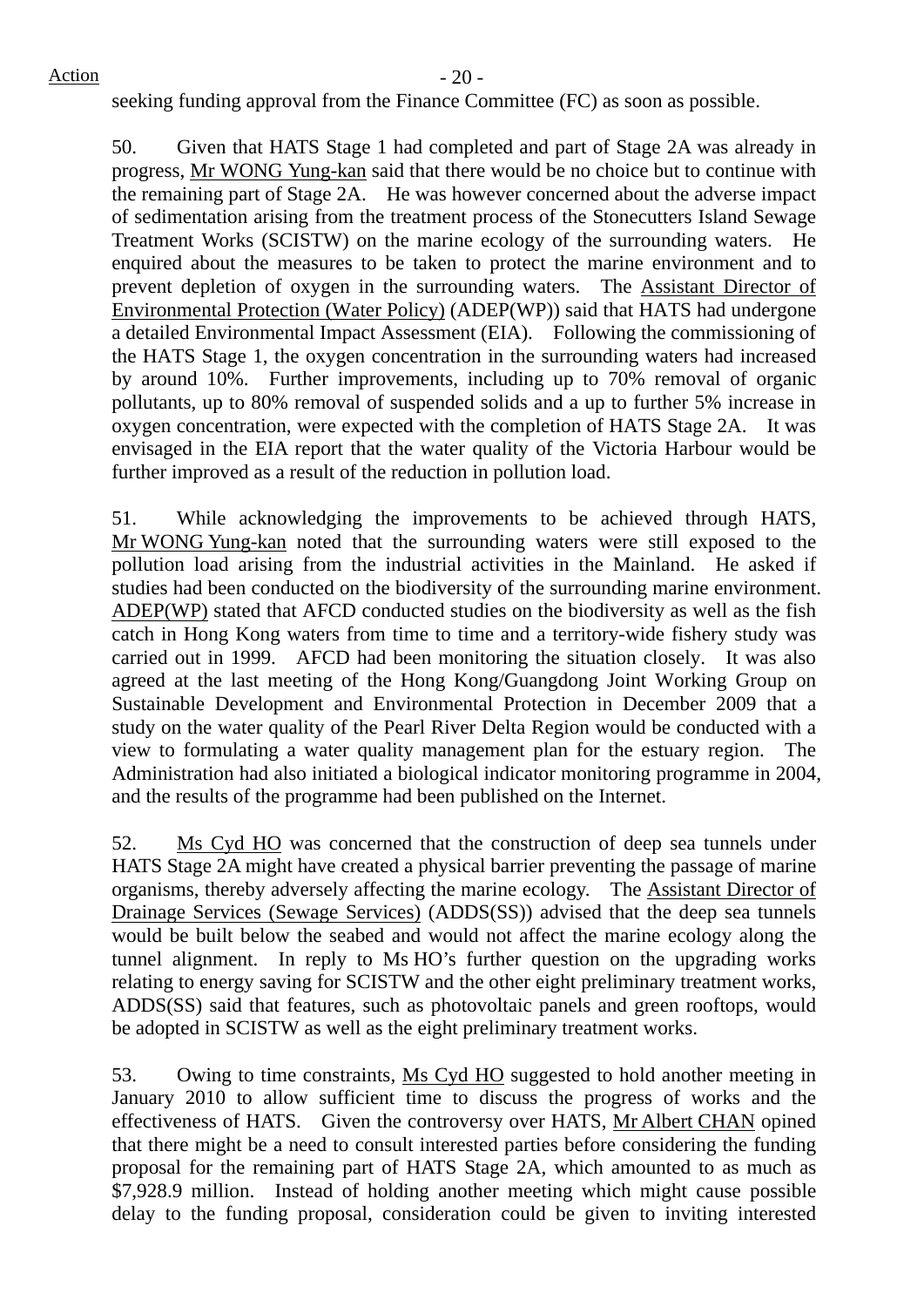seeking funding approval from the Finance Committee (FC) as soon as possible.

50. Given that HATS Stage 1 had completed and part of Stage 2A was already in progress, Mr WONG Yung-kan said that there would be no choice but to continue with the remaining part of Stage 2A. He was however concerned about the adverse impact of sedimentation arising from the treatment process of the Stonecutters Island Sewage Treatment Works (SCISTW) on the marine ecology of the surrounding waters. He enquired about the measures to be taken to protect the marine environment and to prevent depletion of oxygen in the surrounding waters. The Assistant Director of Environmental Protection (Water Policy) (ADEP(WP)) said that HATS had undergone a detailed Environmental Impact Assessment (EIA). Following the commissioning of the HATS Stage 1, the oxygen concentration in the surrounding waters had increased by around 10%. Further improvements, including up to 70% removal of organic pollutants, up to 80% removal of suspended solids and a up to further 5% increase in oxygen concentration, were expected with the completion of HATS Stage 2A. It was envisaged in the EIA report that the water quality of the Victoria Harbour would be further improved as a result of the reduction in pollution load.

51. While acknowledging the improvements to be achieved through HATS, Mr WONG Yung-kan noted that the surrounding waters were still exposed to the pollution load arising from the industrial activities in the Mainland. He asked if studies had been conducted on the biodiversity of the surrounding marine environment. ADEP(WP) stated that AFCD conducted studies on the biodiversity as well as the fish catch in Hong Kong waters from time to time and a territory-wide fishery study was carried out in 1999. AFCD had been monitoring the situation closely. It was also agreed at the last meeting of the Hong Kong/Guangdong Joint Working Group on Sustainable Development and Environmental Protection in December 2009 that a study on the water quality of the Pearl River Delta Region would be conducted with a view to formulating a water quality management plan for the estuary region. The Administration had also initiated a biological indicator monitoring programme in 2004, and the results of the programme had been published on the Internet.

52. Ms Cyd HO was concerned that the construction of deep sea tunnels under HATS Stage 2A might have created a physical barrier preventing the passage of marine organisms, thereby adversely affecting the marine ecology. The Assistant Director of Drainage Services (Sewage Services) (ADDS(SS)) advised that the deep sea tunnels would be built below the seabed and would not affect the marine ecology along the tunnel alignment. In reply to Ms HO's further question on the upgrading works relating to energy saving for SCISTW and the other eight preliminary treatment works, ADDS(SS) said that features, such as photovoltaic panels and green rooftops, would be adopted in SCISTW as well as the eight preliminary treatment works.

53. Owing to time constraints, Ms Cyd HO suggested to hold another meeting in January 2010 to allow sufficient time to discuss the progress of works and the effectiveness of HATS. Given the controversy over HATS, Mr Albert CHAN opined that there might be a need to consult interested parties before considering the funding proposal for the remaining part of HATS Stage 2A, which amounted to as much as \$7,928.9 million. Instead of holding another meeting which might cause possible delay to the funding proposal, consideration could be given to inviting interested